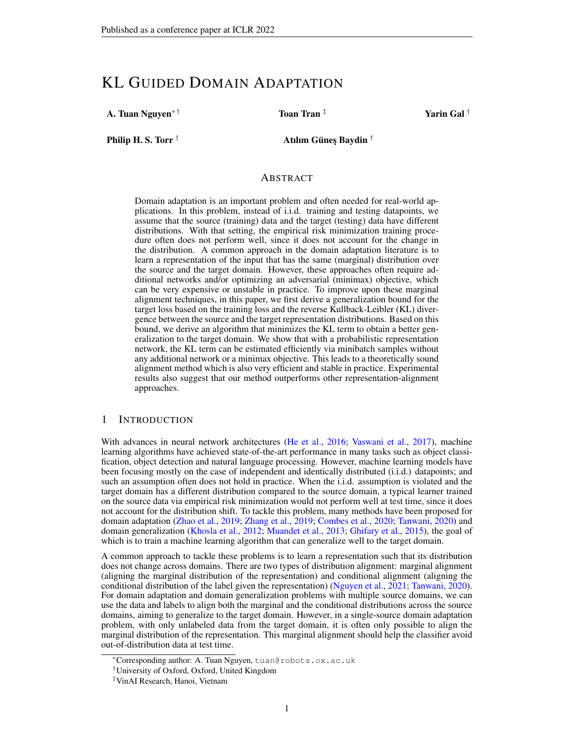# KL GUIDED DOMAIN ADAPTATION

A. Tuan Nguyen∗ † Toan Tran ‡ Yarin Gal †

Philip H. S. Torr  $^\dagger$   $\hspace{1cm}$  Atılım Güneş Baydin  $^\dagger$ 

# ABSTRACT

Domain adaptation is an important problem and often needed for real-world applications. In this problem, instead of i.i.d. training and testing datapoints, we assume that the source (training) data and the target (testing) data have different distributions. With that setting, the empirical risk minimization training procedure often does not perform well, since it does not account for the change in the distribution. A common approach in the domain adaptation literature is to learn a representation of the input that has the same (marginal) distribution over the source and the target domain. However, these approaches often require additional networks and/or optimizing an adversarial (minimax) objective, which can be very expensive or unstable in practice. To improve upon these marginal alignment techniques, in this paper, we first derive a generalization bound for the target loss based on the training loss and the reverse Kullback-Leibler (KL) divergence between the source and the target representation distributions. Based on this bound, we derive an algorithm that minimizes the KL term to obtain a better generalization to the target domain. We show that with a probabilistic representation network, the KL term can be estimated efficiently via minibatch samples without any additional network or a minimax objective. This leads to a theoretically sound alignment method which is also very efficient and stable in practice. Experimental results also suggest that our method outperforms other representation-alignment approaches.

# 1 INTRODUCTION

With advances in neural network architectures [\(He et al.,](#page-9-0) [2016;](#page-9-0) [Vaswani et al.,](#page-10-0) [2017\)](#page-10-0), machine learning algorithms have achieved state-of-the-art performance in many tasks such as object classification, object detection and natural language processing. However, machine learning models have been focusing mostly on the case of independent and identically distributed (i.i.d.) datapoints; and such an assumption often does not hold in practice. When the i.i.d. assumption is violated and the target domain has a different distribution compared to the source domain, a typical learner trained on the source data via empirical risk minimization would not perform well at test time, since it does not account for the distribution shift. To tackle this problem, many methods have been proposed for domain adaptation [\(Zhao et al.,](#page-11-0) [2019;](#page-11-0) [Zhang et al.,](#page-10-1) [2019;](#page-10-1) [Combes et al.,](#page-9-1) [2020;](#page-9-1) [Tanwani,](#page-10-2) [2020\)](#page-10-2) and domain generalization [\(Khosla et al.,](#page-9-2) [2012;](#page-9-2) [Muandet et al.,](#page-10-3) [2013;](#page-10-3) [Ghifary et al.,](#page-9-3) [2015\)](#page-9-3), the goal of which is to train a machine learning algorithm that can generalize well to the target domain.

A common approach to tackle these problems is to learn a representation such that its distribution does not change across domains. There are two types of distribution alignment: marginal alignment (aligning the marginal distribution of the representation) and conditional alignment (aligning the conditional distribution of the label given the representation) [\(Nguyen et al.,](#page-10-4) [2021;](#page-10-4) [Tanwani,](#page-10-2) [2020\)](#page-10-2). For domain adaptation and domain generalization problems with multiple source domains, we can use the data and labels to align both the marginal and the conditional distributions across the source domains, aiming to generalize to the target domain. However, in a single-source domain adaptation problem, with only unlabeled data from the target domain, it is often only possible to align the marginal distribution of the representation. This marginal alignment should help the classifier avoid out-of-distribution data at test time.

<sup>∗</sup>Corresponding author: A. Tuan Nguyen, tuan@robots.ox.ac.uk

<sup>†</sup>University of Oxford, Oxford, United Kingdom

<sup>‡</sup>VinAI Research, Hanoi, Vietnam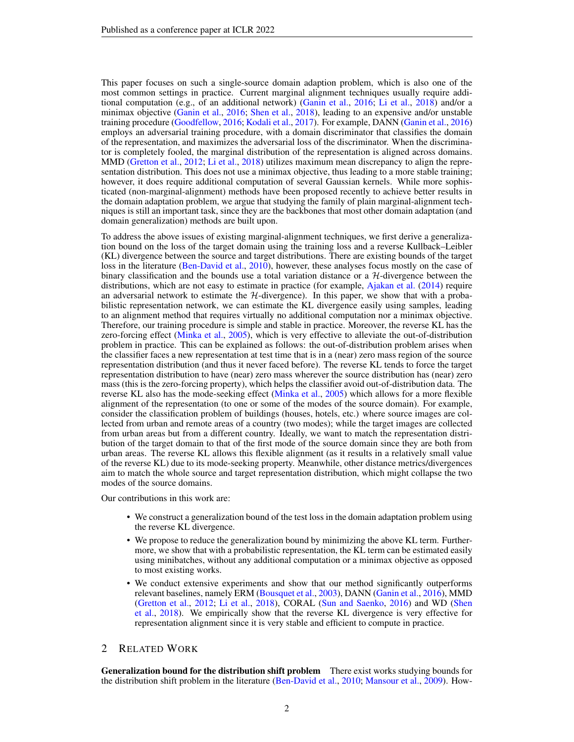This paper focuses on such a single-source domain adaption problem, which is also one of the most common settings in practice. Current marginal alignment techniques usually require additional computation (e.g., of an additional network) [\(Ganin et al.,](#page-9-4) [2016;](#page-9-4) [Li et al.,](#page-10-5) [2018\)](#page-10-5) and/or a minimax objective [\(Ganin et al.,](#page-9-4) [2016;](#page-9-4) [Shen et al.,](#page-10-6) [2018\)](#page-10-6), leading to an expensive and/or unstable training procedure [\(Goodfellow,](#page-9-5) [2016;](#page-9-5) [Kodali et al.,](#page-10-7) [2017\)](#page-10-7). For example, DANN [\(Ganin et al.,](#page-9-4) [2016\)](#page-9-4) employs an adversarial training procedure, with a domain discriminator that classifies the domain of the representation, and maximizes the adversarial loss of the discriminator. When the discriminator is completely fooled, the marginal distribution of the representation is aligned across domains. MMD [\(Gretton et al.,](#page-9-6) [2012;](#page-9-6) [Li et al.,](#page-10-5) [2018\)](#page-10-5) utilizes maximum mean discrepancy to align the representation distribution. This does not use a minimax objective, thus leading to a more stable training; however, it does require additional computation of several Gaussian kernels. While more sophisticated (non-marginal-alignment) methods have been proposed recently to achieve better results in the domain adaptation problem, we argue that studying the family of plain marginal-alignment techniques is still an important task, since they are the backbones that most other domain adaptation (and domain generalization) methods are built upon.

To address the above issues of existing marginal-alignment techniques, we first derive a generalization bound on the loss of the target domain using the training loss and a reverse Kullback–Leibler (KL) divergence between the source and target distributions. There are existing bounds of the target loss in the literature [\(Ben-David et al.,](#page-9-7) [2010\)](#page-9-7), however, these analyses focus mostly on the case of binary classification and the bounds use a total variation distance or a  $H$ -divergence between the distributions, which are not easy to estimate in practice (for example, [Ajakan et al.](#page-9-8) [\(2014\)](#page-9-8) require an adversarial network to estimate the  $H$ -divergence). In this paper, we show that with a probabilistic representation network, we can estimate the KL divergence easily using samples, leading to an alignment method that requires virtually no additional computation nor a minimax objective. Therefore, our training procedure is simple and stable in practice. Moreover, the reverse KL has the zero-forcing effect [\(Minka et al.,](#page-10-8) [2005\)](#page-10-8), which is very effective to alleviate the out-of-distribution problem in practice. This can be explained as follows: the out-of-distribution problem arises when the classifier faces a new representation at test time that is in a (near) zero mass region of the source representation distribution (and thus it never faced before). The reverse KL tends to force the target representation distribution to have (near) zero mass wherever the source distribution has (near) zero mass (this is the zero-forcing property), which helps the classifier avoid out-of-distribution data. The reverse KL also has the mode-seeking effect [\(Minka et al.,](#page-10-8) [2005\)](#page-10-8) which allows for a more flexible alignment of the representation (to one or some of the modes of the source domain). For example, consider the classification problem of buildings (houses, hotels, etc.) where source images are collected from urban and remote areas of a country (two modes); while the target images are collected from urban areas but from a different country. Ideally, we want to match the representation distribution of the target domain to that of the first mode of the source domain since they are both from urban areas. The reverse KL allows this flexible alignment (as it results in a relatively small value of the reverse KL) due to its mode-seeking property. Meanwhile, other distance metrics/divergences aim to match the whole source and target representation distribution, which might collapse the two modes of the source domains.

Our contributions in this work are:

- We construct a generalization bound of the test loss in the domain adaptation problem using the reverse KL divergence.
- We propose to reduce the generalization bound by minimizing the above KL term. Furthermore, we show that with a probabilistic representation, the KL term can be estimated easily using minibatches, without any additional computation or a minimax objective as opposed to most existing works.
- We conduct extensive experiments and show that our method significantly outperforms relevant baselines, namely ERM [\(Bousquet et al.,](#page-9-9) [2003\)](#page-9-9), DANN [\(Ganin et al.,](#page-9-4) [2016\)](#page-9-4), MMD [\(Gretton et al.,](#page-9-6) [2012;](#page-9-6) [Li et al.,](#page-10-5) [2018\)](#page-10-5), CORAL [\(Sun and Saenko,](#page-10-9) [2016\)](#page-10-9) and WD [\(Shen](#page-10-6) [et al.,](#page-10-6) [2018\)](#page-10-6). We empirically show that the reverse KL divergence is very effective for representation alignment since it is very stable and efficient to compute in practice.

# 2 RELATED WORK

Generalization bound for the distribution shift problem There exist works studying bounds for the distribution shift problem in the literature [\(Ben-David et al.,](#page-9-7) [2010;](#page-9-7) [Mansour et al.,](#page-10-10) [2009\)](#page-10-10). How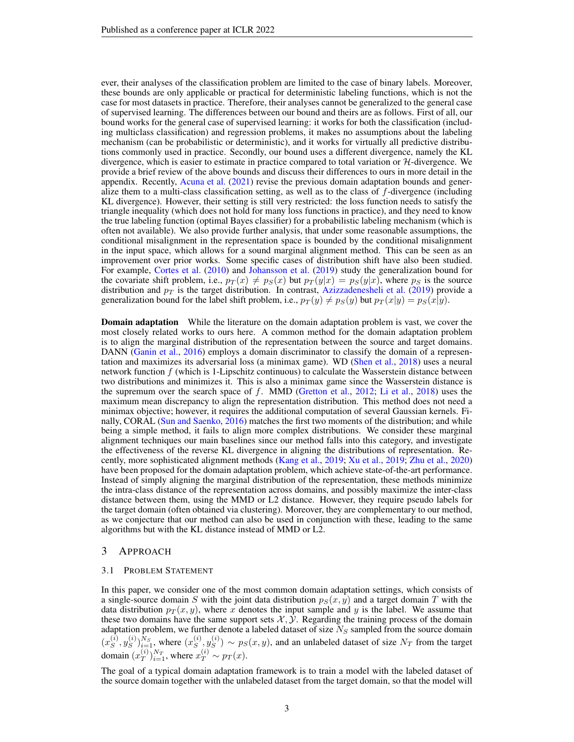ever, their analyses of the classification problem are limited to the case of binary labels. Moreover, these bounds are only applicable or practical for deterministic labeling functions, which is not the case for most datasets in practice. Therefore, their analyses cannot be generalized to the general case of supervised learning. The differences between our bound and theirs are as follows. First of all, our bound works for the general case of supervised learning: it works for both the classification (including multiclass classification) and regression problems, it makes no assumptions about the labeling mechanism (can be probabilistic or deterministic), and it works for virtually all predictive distributions commonly used in practice. Secondly, our bound uses a different divergence, namely the KL divergence, which is easier to estimate in practice compared to total variation or  $H$ -divergence. We provide a brief review of the above bounds and discuss their differences to ours in more detail in the appendix. Recently, [Acuna et al.](#page-9-10) [\(2021\)](#page-9-10) revise the previous domain adaptation bounds and generalize them to a multi-class classification setting, as well as to the class of f-divergence (including KL divergence). However, their setting is still very restricted: the loss function needs to satisfy the triangle inequality (which does not hold for many loss functions in practice), and they need to know the true labeling function (optimal Bayes classifier) for a probabilistic labeling mechanism (which is often not available). We also provide further analysis, that under some reasonable assumptions, the conditional misalignment in the representation space is bounded by the conditional misalignment in the input space, which allows for a sound marginal alignment method. This can be seen as an improvement over prior works. Some specific cases of distribution shift have also been studied. For example, [Cortes et al.](#page-9-11) [\(2010\)](#page-9-11) and [Johansson et al.](#page-9-12) [\(2019\)](#page-9-12) study the generalization bound for the covariate shift problem, i.e.,  $p_T(x) \neq p_S(x)$  but  $p_T(y|x) = p_S(y|x)$ , where  $p_S$  is the source distribution and  $p_T$  is the target distribution. In contrast, [Azizzadenesheli et al.](#page-9-13) [\(2019\)](#page-9-13) provide a generalization bound for the label shift problem, i.e.,  $p_T(y) \neq p_S(y)$  but  $p_T(x|y) = p_S(x|y)$ .

**Domain adaptation** While the literature on the domain adaptation problem is vast, we cover the most closely related works to ours here. A common method for the domain adaptation problem is to align the marginal distribution of the representation between the source and target domains. DANN [\(Ganin et al.,](#page-9-4) [2016\)](#page-9-4) employs a domain discriminator to classify the domain of a representation and maximizes its adversarial loss (a minimax game). WD [\(Shen et al.,](#page-10-6) [2018\)](#page-10-6) uses a neural network function  $f$  (which is 1-Lipschitz continuous) to calculate the Wasserstein distance between two distributions and minimizes it. This is also a minimax game since the Wasserstein distance is the supremum over the search space of f. MMD [\(Gretton et al.,](#page-9-6) [2012;](#page-9-6) [Li et al.,](#page-10-5) [2018\)](#page-10-5) uses the maximum mean discrepancy to align the representation distribution. This method does not need a minimax objective; however, it requires the additional computation of several Gaussian kernels. Finally, CORAL [\(Sun and Saenko,](#page-10-9) [2016\)](#page-10-9) matches the first two moments of the distribution; and while being a simple method, it fails to align more complex distributions. We consider these marginal alignment techniques our main baselines since our method falls into this category, and investigate the effectiveness of the reverse KL divergence in aligning the distributions of representation. Recently, more sophisticated alignment methods [\(Kang et al.,](#page-9-14) [2019;](#page-9-14) [Xu et al.,](#page-10-11) [2019;](#page-10-11) [Zhu et al.,](#page-11-1) [2020\)](#page-11-1) have been proposed for the domain adaptation problem, which achieve state-of-the-art performance. Instead of simply aligning the marginal distribution of the representation, these methods minimize the intra-class distance of the representation across domains, and possibly maximize the inter-class distance between them, using the MMD or L2 distance. However, they require pseudo labels for the target domain (often obtained via clustering). Moreover, they are complementary to our method, as we conjecture that our method can also be used in conjunction with these, leading to the same algorithms but with the KL distance instead of MMD or L2.

# 3 APPROACH

#### 3.1 PROBLEM STATEMENT

In this paper, we consider one of the most common domain adaptation settings, which consists of a single-source domain S with the joint data distribution  $p_S(x, y)$  and a target domain T with the data distribution  $p_T(x, y)$ , where x denotes the input sample and y is the label. We assume that these two domains have the same support sets  $\mathcal{X}, \mathcal{Y}$ . Regarding the training process of the domain adaptation problem, we further denote a labeled dataset of size  $N<sub>S</sub>$  sampled from the source domain  $(x_s^{(i)}$  $_{S}^{(i)}, y_{S}^{(i)}$  $S^{(i)}\big)_{i=1}^{N_S}$ , where  $(x_S^{(i)}$  $_s^{(i)}, y_S^{(i)}$  $S^{(i)}$   $\sim p_S(x, y)$ , and an unlabeled dataset of size  $N_T$  from the target domain  $(x_T^{(i)}$  $_{T}^{(i)})_{i=1}^{N_{T}},$  where  $x_{T}^{(i)} \sim p_{T}(x)$ .

The goal of a typical domain adaptation framework is to train a model with the labeled dataset of the source domain together with the unlabeled dataset from the target domain, so that the model will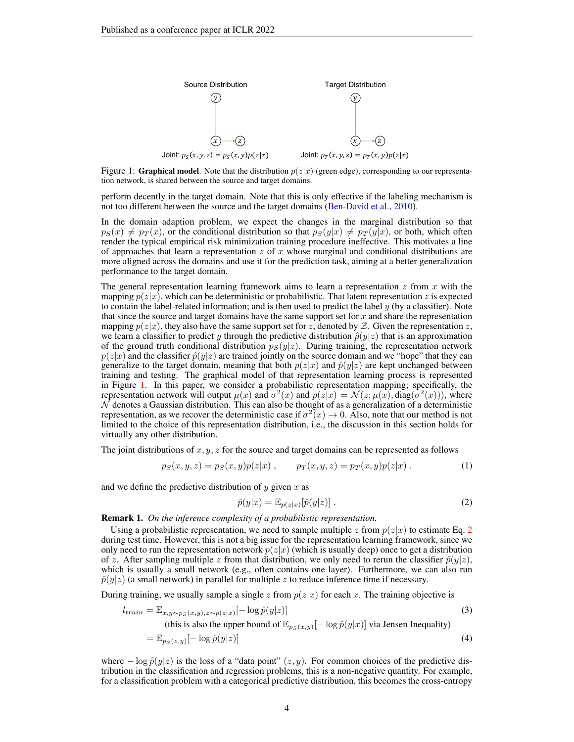<span id="page-3-0"></span>

Figure 1: Graphical model. Note that the distribution  $p(z|x)$  (green edge), corresponding to our representation network, is shared between the source and target domains.

perform decently in the target domain. Note that this is only effective if the labeling mechanism is not too different between the source and the target domains [\(Ben-David et al.,](#page-9-7) [2010\)](#page-9-7).

In the domain adaption problem, we expect the changes in the marginal distribution so that  $p_S(x) \neq p_T(x)$ , or the conditional distribution so that  $p_S(y|x) \neq p_T(y|x)$ , or both, which often render the typical empirical risk minimization training procedure ineffective. This motivates a line of approaches that learn a representation  $z$  of  $x$  whose marginal and conditional distributions are more aligned across the domains and use it for the prediction task, aiming at a better generalization performance to the target domain.

The general representation learning framework aims to learn a representation  $z$  from  $x$  with the mapping  $p(z|x)$ , which can be deterministic or probabilistic. That latent representation z is expected to contain the label-related information; and is then used to predict the label  $\gamma$  (by a classifier). Note that since the source and target domains have the same support set for  $x$  and share the representation mapping  $p(z|x)$ , they also have the same support set for z, denoted by Z. Given the representation z, we learn a classifier to predict y through the predictive distribution  $\hat{p}(y|z)$  that is an approximation of the ground truth conditional distribution  $p_S(y|z)$ . During training, the representation network  $p(z|x)$  and the classifier  $\hat{p}(y|z)$  are trained jointly on the source domain and we "hope" that they can generalize to the target domain, meaning that both  $p(z|x)$  and  $\hat{p}(y|z)$  are kept unchanged between training and testing. The graphical model of that representation learning process is represented in Figure [1.](#page-3-0) In this paper, we consider a probabilistic representation mapping; specifically, the representation network will output  $\mu(x)$  and  $\sigma^2(x)$  and  $p(z|x) = \mathcal{N}(z; \mu(x), diag(\sigma^2(x)))$ , where  $\mathcal N$  denotes a Gaussian distribution. This can also be thought of as a generalization of a deterministic representation, as we recover the deterministic case if  $\sigma^2(x) \to 0$ . Also, note that our method is not limited to the choice of this representation distribution, i.e., the discussion in this section holds for virtually any other distribution.

The joint distributions of  $x, y, z$  for the source and target domains can be represented as follows

$$
p_S(x, y, z) = p_S(x, y)p(z|x) , \qquad p_T(x, y, z) = p_T(x, y)p(z|x) . \tag{1}
$$

and we define the predictive distribution of  $y$  given  $x$  as

<span id="page-3-1"></span>
$$
\hat{p}(y|x) = \mathbb{E}_{p(z|x)}[\hat{p}(y|z)].
$$
\n(2)

Remark 1. *On the inference complexity of a probabilistic representation.*

Using a probabilistic representation, we need to sample multiple z from  $p(z|x)$  to estimate Eq. [2](#page-3-1) during test time. However, this is not a big issue for the representation learning framework, since we only need to run the representation network  $p(z|x)$  (which is usually deep) once to get a distribution of z. After sampling multiple z from that distribution, we only need to rerun the classifier  $\hat{p}(y|z)$ , which is usually a small network (e.g., often contains one layer). Furthermore, we can also run  $\hat{p}(y|z)$  (a small network) in parallel for multiple z to reduce inference time if necessary.

During training, we usually sample a single z from  $p(z|x)$  for each x. The training objective is

$$
l_{train} = \mathbb{E}_{x, y \sim p_S(x, y), z \sim p(z|x)}[-\log \hat{p}(y|z)] \tag{3}
$$

(this is also the upper bound of  $\mathbb{E}_{p_S(x,y)}[-\log \hat{p}(y|x)]$  via Jensen Inequality)

$$
= \mathbb{E}_{p_S(z,y)}[-\log \hat{p}(y|z)] \tag{4}
$$

where  $-\log \hat{p}(y|z)$  is the loss of a "data point"  $(z, y)$ . For common choices of the predictive distribution in the classification and regression problems, this is a non-negative quantity. For example, for a classification problem with a categorical predictive distribution, this becomes the cross-entropy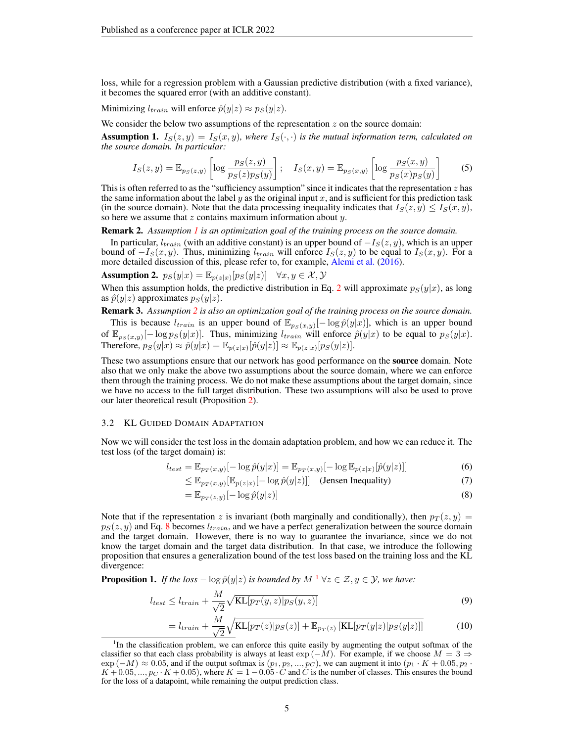loss, while for a regression problem with a Gaussian predictive distribution (with a fixed variance), it becomes the squared error (with an additive constant).

Minimizing  $l_{train}$  will enforce  $\hat{p}(y|z) \approx p_S(y|z)$ .

We consider the below two assumptions of the representation  $z$  on the source domain:

<span id="page-4-0"></span>**Assumption 1.**  $I_S(z, y) = I_S(x, y)$ , where  $I_S(\cdot, \cdot)$  is the mutual information term, calculated on *the source domain. In particular:*

$$
I_S(z,y) = \mathbb{E}_{p_S(z,y)} \left[ \log \frac{p_S(z,y)}{p_S(z)p_S(y)} \right]; \quad I_S(x,y) = \mathbb{E}_{p_S(x,y)} \left[ \log \frac{p_S(x,y)}{p_S(x)p_S(y)} \right]
$$
(5)

This is often referred to as the "sufficiency assumption" since it indicates that the representation  $z$  has the same information about the label  $y$  as the original input  $x$ , and is sufficient for this prediction task (in the source domain). Note that the data processing inequality indicates that  $I_S(z, y) \leq I_S(x, y)$ , so here we assume that  $z$  contains maximum information about  $y$ .

Remark 2. *Assumption [1](#page-4-0) is an optimization goal of the training process on the source domain.*

In particular,  $l_{train}$  (with an additive constant) is an upper bound of  $-I_S(z, y)$ , which is an upper bound of  $-I<sub>S</sub>(x, y)$ . Thus, minimizing  $l<sub>train</sub>$  will enforce  $I<sub>S</sub>(z, y)$  to be equal to  $I<sub>S</sub>(x, y)$ . For a more detailed discussion of this, please refer to, for example, [Alemi et al.](#page-9-15) [\(2016\)](#page-9-15).

<span id="page-4-1"></span>**Assumption 2.** 
$$
p_S(y|x) = \mathbb{E}_{p(z|x)}[p_S(y|z)] \quad \forall x, y \in \mathcal{X}, \mathcal{Y}
$$

When this assumption holds, the predictive distribution in Eq. [2](#page-3-1) will approximate  $p_S(y|x)$ , as long as  $\hat{p}(y|z)$  approximates  $p_S(y|z)$ .

Remark 3. *Assumption [2](#page-4-1) is also an optimization goal of the training process on the source domain.* This is because  $l_{train}$  is an upper bound of  $\mathbb{E}_{p_S(x,y)}[-\log \hat{p}(y|x)]$ , which is an upper bound of  $\mathbb{E}_{p_S(x,y)}[-\log p_S(y|x)]$ . Thus, minimizing  $l_{train}$  will enforce  $\hat{p}(y|x)$  to be equal to  $p_S(y|x)$ . Therefore,  $p_S(y|x) \approx \hat{p}(y|x) = \mathbb{E}_{p(z|x)}[\hat{p}(y|z)] \approx \mathbb{E}_{p(z|x)}[p_S(y|z)].$ 

These two assumptions ensure that our network has good performance on the **source** domain. Note also that we only make the above two assumptions about the source domain, where we can enforce them through the training process. We do not make these assumptions about the target domain, since we have no access to the full target distribution. These two assumptions will also be used to prove our later theoretical result (Proposition [2\)](#page-5-0).

### 3.2 KL GUIDED DOMAIN ADAPTATION

Now we will consider the test loss in the domain adaptation problem, and how we can reduce it. The test loss (of the target domain) is:

$$
l_{test} = \mathbb{E}_{p_T(x,y)}[-\log \hat{p}(y|x)] = \mathbb{E}_{p_T(x,y)}[-\log \mathbb{E}_{p(z|x)}[\hat{p}(y|z)]]
$$
(6)

$$
\leq \mathbb{E}_{p_T(x,y)}[\mathbb{E}_{p(z|x)}[-\log \hat{p}(y|z)]] \quad \text{(Jensen Inequality)} \tag{7}
$$

<span id="page-4-2"></span>
$$
= \mathbb{E}_{p_T(z,y)}[-\log \hat{p}(y|z)] \tag{8}
$$

Note that if the representation z is invariant (both marginally and conditionally), then  $p_T(z, y) =$  $p_S(z, y)$  and Eq. [8](#page-4-2) becomes  $l_{train}$ , and we have a perfect generalization between the source domain and the target domain. However, there is no way to guarantee the invariance, since we do not know the target domain and the target data distribution. In that case, we introduce the following proposition that ensures a generalization bound of the test loss based on the training loss and the KL divergence:

<span id="page-4-4"></span>**Proposition [1](#page-4-3).** *If the loss*  $-\log \hat{p}(y|z)$  *is bounded by*  $M^{-1} \forall z \in \mathcal{Z}, y \in \mathcal{Y}$ *, we have:* 

$$
l_{test} \le l_{train} + \frac{M}{\sqrt{2}} \sqrt{\text{KL}[p_T(y, z) | p_S(y, z)]}
$$
\n(9)

$$
=l_{train} + \frac{M}{\sqrt{2}}\sqrt{\text{KL}[p_T(z)|p_S(z)] + \mathbb{E}_{p_T(z)}[\text{KL}[p_T(y|z)|p_S(y|z)]]}
$$
(10)

<span id="page-4-3"></span><sup>&</sup>lt;sup>1</sup>In the classification problem, we can enforce this quite easily by augmenting the output softmax of the classifier so that each class probability is always at least  $\exp(-M)$ . For example, if we choose  $M = 3 \Rightarrow$  $\exp(-M) \approx 0.05$ , and if the output softmax is  $(p_1, p_2, ..., p_C)$ , we can augment it into  $(p_1 \cdot K + 0.05, p_2 \cdot m)$  $K + 0.05, ..., p_C \cdot K + 0.05$ , where  $K = 1 - 0.05 \cdot C$  and C is the number of classes. This ensures the bound for the loss of a datapoint, while remaining the output prediction class.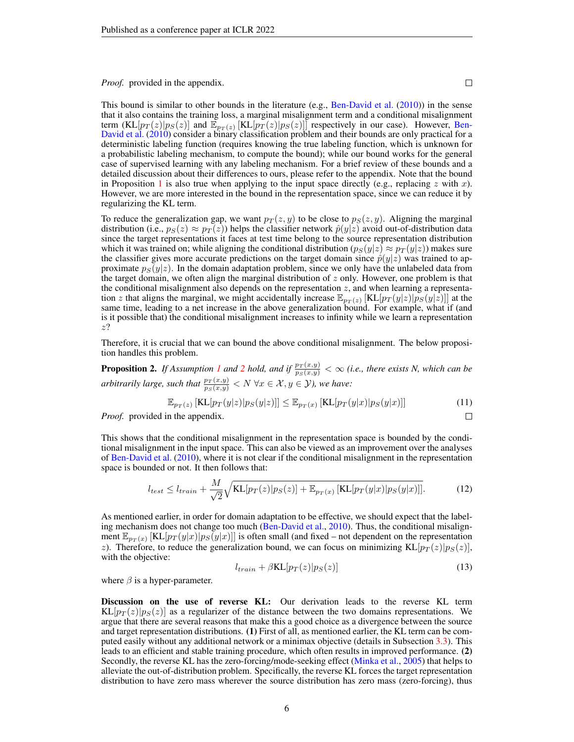*Proof.* provided in the appendix.

 $\Box$ 

<span id="page-5-0"></span> $\Box$ 

This bound is similar to other bounds in the literature (e.g., [Ben-David et al.](#page-9-7) [\(2010\)](#page-9-7)) in the sense that it also contains the training loss, a marginal misalignment term and a conditional misalignment term  $(KL[p_T(z)|p_S(z)]$  and  $\mathbb{E}_{p_T(z)}[KL[p_T(z)|p_S(z)]]$  respectively in our case). However, [Ben-](#page-9-7)[David et al.](#page-9-7) [\(2010\)](#page-9-7) consider a binary classification problem and their bounds are only practical for a deterministic labeling function (requires knowing the true labeling function, which is unknown for a probabilistic labeling mechanism, to compute the bound); while our bound works for the general case of supervised learning with any labeling mechanism. For a brief review of these bounds and a detailed discussion about their differences to ours, please refer to the appendix. Note that the bound in Proposition [1](#page-4-4) is also true when applying to the input space directly (e.g., replacing z with x). However, we are more interested in the bound in the representation space, since we can reduce it by regularizing the KL term.

To reduce the generalization gap, we want  $p_T(z, y)$  to be close to  $p_S(z, y)$ . Aligning the marginal distribution (i.e.,  $p_S(z) \approx p_T(z)$ ) helps the classifier network  $\hat{p}(y|z)$  avoid out-of-distribution data since the target representations it faces at test time belong to the source representation distribution which it was trained on; while aligning the conditional distribution  $(p_S(y|z) \approx p_T(y|z))$  makes sure the classifier gives more accurate predictions on the target domain since  $\hat{p}(y|z)$  was trained to approximate  $p_S(y|z)$ . In the domain adaptation problem, since we only have the unlabeled data from the target domain, we often align the marginal distribution of  $z$  only. However, one problem is that the conditional misalignment also depends on the representation  $z$ , and when learning a representation z that aligns the marginal, we might accidentally increase  $\mathbb{E}_{p_T(z)} [\text{KL}[p_T(y|z)|\tilde{p}_S(y|z)]]$  at the same time, leading to a net increase in the above generalization bound. For example, what if (and is it possible that) the conditional misalignment increases to infinity while we learn a representation z?

Therefore, it is crucial that we can bound the above conditional misalignment. The below proposition handles this problem.

**Proposition [2](#page-4-1).** If Assumption [1](#page-4-0) and 2 hold, and if  $\frac{p_T(x,y)}{p_S(x,y)} < \infty$  (i.e., there exists N, which can be *arbitrarily large, such that*  $\frac{p_T(x,y)}{p_S(x,y)} < N \ \forall x \in \mathcal{X}, y \in \mathcal{Y}$ *), we have:* 

$$
\mathbb{E}_{p_T(z)}\left[\text{KL}[p_T(y|z)|p_S(y|z)]\right] \le \mathbb{E}_{p_T(x)}\left[\text{KL}[p_T(y|x)|p_S(y|x)]\right] \tag{11}
$$

*Proof.* provided in the appendix.

This shows that the conditional misalignment in the representation space is bounded by the conditional misalignment in the input space. This can also be viewed as an improvement over the analyses of [Ben-David et al.](#page-9-7) [\(2010\)](#page-9-7), where it is not clear if the conditional misalignment in the representation space is bounded or not. It then follows that:

$$
l_{test} \le l_{train} + \frac{M}{\sqrt{2}} \sqrt{\text{KL}[p_T(z)|p_S(z)] + \mathbb{E}_{p_T(x)}[\text{KL}[p_T(y|x)|p_S(y|x)]]}.
$$
 (12)

As mentioned earlier, in order for domain adaptation to be effective, we should expect that the labeling mechanism does not change too much [\(Ben-David et al.,](#page-9-7) [2010\)](#page-9-7). Thus, the conditional misalignment  $\mathbb{E}_{p_T(x)} [\text{KL}[p_T(y|x)|p_S(y|x)]]$  is often small (and fixed – not dependent on the representation z). Therefore, to reduce the generalization bound, we can focus on minimizing  $KL[p_T(z)|p_S(z)]$ , with the objective:

$$
l_{train} + \beta \text{KL}[p_T(z)|p_S(z)] \tag{13}
$$

where  $\beta$  is a hyper-parameter.

Discussion on the use of reverse KL: Our derivation leads to the reverse KL term  $KL[p_T(z)|p_S(z)]$  as a regularizer of the distance between the two domains representations. We argue that there are several reasons that make this a good choice as a divergence between the source and target representation distributions. (1) First of all, as mentioned earlier, the KL term can be computed easily without any additional network or a minimax objective (details in Subsection [3.3\)](#page-6-0). This leads to an efficient and stable training procedure, which often results in improved performance. (2) Secondly, the reverse KL has the zero-forcing/mode-seeking effect [\(Minka et al.,](#page-10-8) [2005\)](#page-10-8) that helps to alleviate the out-of-distribution problem. Specifically, the reverse KL forces the target representation distribution to have zero mass wherever the source distribution has zero mass (zero-forcing), thus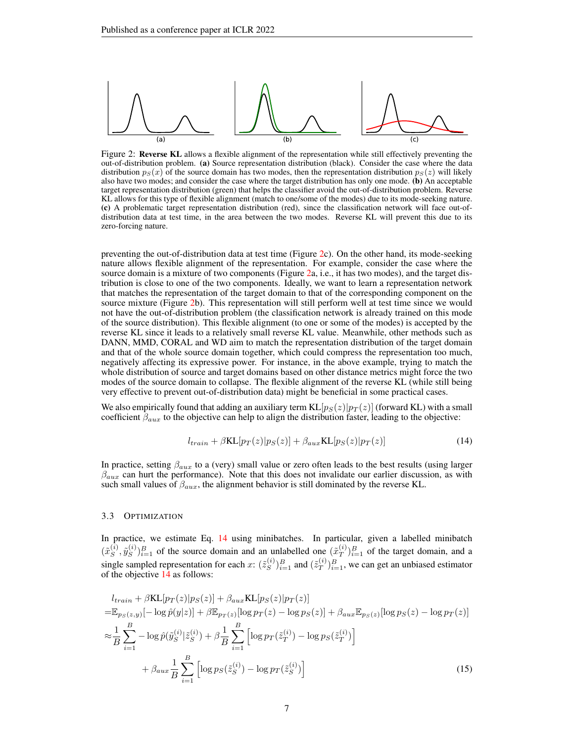<span id="page-6-1"></span>

Figure 2: Reverse KL allows a flexible alignment of the representation while still effectively preventing the out-of-distribution problem. (a) Source representation distribution (black). Consider the case where the data distribution  $p_S(x)$  of the source domain has two modes, then the representation distribution  $p_S(z)$  will likely also have two modes; and consider the case where the target distribution has only one mode. (b) An acceptable target representation distribution (green) that helps the classifier avoid the out-of-distribution problem. Reverse KL allows for this type of flexible alignment (match to one/some of the modes) due to its mode-seeking nature. (c) A problematic target representation distribution (red), since the classification network will face out-ofdistribution data at test time, in the area between the two modes. Reverse KL will prevent this due to its zero-forcing nature.

preventing the out-of-distribution data at test time (Figure [2c](#page-6-1)). On the other hand, its mode-seeking nature allows flexible alignment of the representation. For example, consider the case where the source domain is a mixture of two components (Figure [2a](#page-6-1), i.e., it has two modes), and the target distribution is close to one of the two components. Ideally, we want to learn a representation network that matches the representation of the target domain to that of the corresponding component on the source mixture (Figure [2b](#page-6-1)). This representation will still perform well at test time since we would not have the out-of-distribution problem (the classification network is already trained on this mode of the source distribution). This flexible alignment (to one or some of the modes) is accepted by the reverse KL since it leads to a relatively small reverse KL value. Meanwhile, other methods such as DANN, MMD, CORAL and WD aim to match the representation distribution of the target domain and that of the whole source domain together, which could compress the representation too much, negatively affecting its expressive power. For instance, in the above example, trying to match the whole distribution of source and target domains based on other distance metrics might force the two modes of the source domain to collapse. The flexible alignment of the reverse KL (while still being very effective to prevent out-of-distribution data) might be beneficial in some practical cases.

We also empirically found that adding an auxiliary term  $KL[p_S(z)|p_T(z)]$  (forward KL) with a small coefficient  $\beta_{aux}$  to the objective can help to align the distribution faster, leading to the objective:

<span id="page-6-3"></span><span id="page-6-2"></span>
$$
l_{train} + \beta \text{KL}[p_T(z)|p_S(z)] + \beta_{aux} \text{KL}[p_S(z)|p_T(z)] \tag{14}
$$

In practice, setting  $\beta_{aux}$  to a (very) small value or zero often leads to the best results (using larger  $\beta_{aux}$  can hurt the performance). Note that this does not invalidate our earlier discussion, as with such small values of  $\beta_{aux}$ , the alignment behavior is still dominated by the reverse KL.

#### <span id="page-6-0"></span>3.3 OPTIMIZATION

In practice, we estimate Eq. [14](#page-6-2) using minibatches. In particular, given a labelled minibatch  $(\tilde{x}_{S}^{(i)}$  $_S^{(i)}, \tilde{y}_S^{(i)}$  $S^{(i)}_{S}$  of the source domain and an unlabelled one  $(\tilde{x}_T^{(i)})$  $\binom{(i)}{T}$  $\binom{B}{T}$  of the target domain, and a single sampled representation for each x:  $(\tilde{z}_S^{(i)})$  $\binom{S}{S}_{i=1}^B$  and  $(\tilde{z}_T^{(i)})$  $\binom{n}{T}\}_{i=1}^B$ , we can get an unbiased estimator of the objective [14](#page-6-2) as follows:

$$
l_{train} + \beta KL[p_T(z)|p_S(z)] + \beta_{aux} KL[p_S(z)|p_T(z)]
$$
  
\n
$$
= \mathbb{E}_{p_S(z,y)}[-\log \hat{p}(y|z)] + \beta \mathbb{E}_{p_T(z)}[\log p_T(z) - \log p_S(z)] + \beta_{aux} \mathbb{E}_{p_S(z)}[\log p_S(z) - \log p_T(z)]
$$
  
\n
$$
\approx \frac{1}{B} \sum_{i=1}^{B} -\log \hat{p}(\tilde{y}_{S}^{(i)}|\tilde{z}_{S}^{(i)}) + \beta \frac{1}{B} \sum_{i=1}^{B} \left[ \log p_T(\tilde{z}_{T}^{(i)}) - \log p_S(\tilde{z}_{T}^{(i)}) \right]
$$
  
\n
$$
+ \beta_{aux} \frac{1}{B} \sum_{i=1}^{B} \left[ \log p_S(\tilde{z}_{S}^{(i)}) - \log p_T(\tilde{z}_{S}^{(i)}) \right]
$$
(15)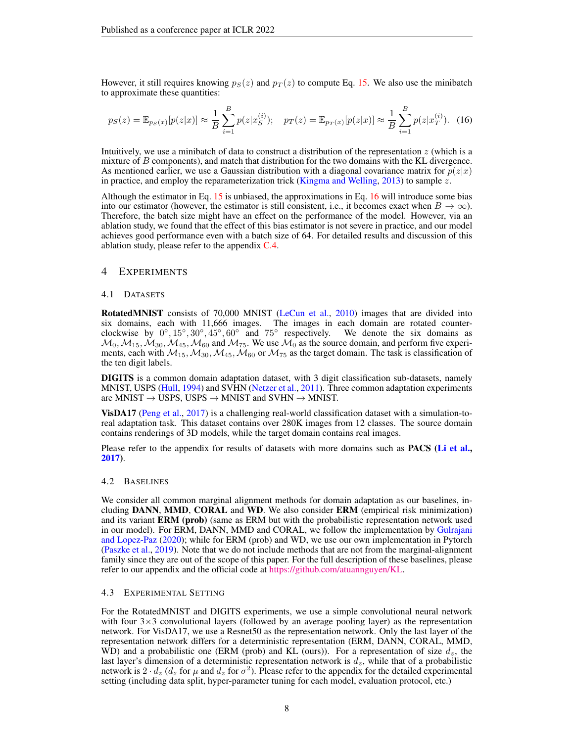However, it still requires knowing  $p_S(z)$  and  $p_T(z)$  to compute Eq. [15.](#page-6-3) We also use the minibatch to approximate these quantities:

<span id="page-7-0"></span>
$$
p_S(z) = \mathbb{E}_{p_S(x)}[p(z|x)] \approx \frac{1}{B} \sum_{i=1}^{B} p(z|x_S^{(i)}); \quad p_T(z) = \mathbb{E}_{p_T(x)}[p(z|x)] \approx \frac{1}{B} \sum_{i=1}^{B} p(z|x_T^{(i)})
$$
 (16)

Intuitively, we use a minibatch of data to construct a distribution of the representation z (which is a mixture of B components), and match that distribution for the two domains with the KL divergence. As mentioned earlier, we use a Gaussian distribution with a diagonal covariance matrix for  $p(z|x)$ in practice, and employ the reparameterization trick [\(Kingma and Welling,](#page-10-12) [2013\)](#page-10-12) to sample z.

Although the estimator in Eq. [15](#page-6-3) is unbiased, the approximations in Eq. [16](#page-7-0) will introduce some bias into our estimator (however, the estimator is still consistent, i.e., it becomes exact when  $B \to \infty$ ). Therefore, the batch size might have an effect on the performance of the model. However, via an ablation study, we found that the effect of this bias estimator is not severe in practice, and our model achieves good performance even with a batch size of 64. For detailed results and discussion of this ablation study, please refer to the appendix  $C.4$ .

# 4 EXPERIMENTS

#### 4.1 DATASETS

RotatedMNIST consists of 70,000 MNIST [\(LeCun et al.,](#page-10-13) [2010\)](#page-10-13) images that are divided into six domains, each with 11,666 images. The images in each domain are rotated counterclockwise by  $0^\circ, 15^\circ, 30^\circ, 45^\circ, 60^\circ$  and  $75^\circ$ We denote the six domains as  $\mathcal{M}_0, \mathcal{M}_{15}, \mathcal{M}_{30}, \mathcal{M}_{45}, \mathcal{M}_{60}$  and  $\mathcal{M}_{75}$ . We use  $\mathcal{M}_0$  as the source domain, and perform five experiments, each with  $M_{15}$ ,  $M_{30}$ ,  $M_{45}$ ,  $M_{60}$  or  $M_{75}$  as the target domain. The task is classification of the ten digit labels.

DIGITS is a common domain adaptation dataset, with 3 digit classification sub-datasets, namely MNIST, USPS [\(Hull,](#page-9-16) [1994\)](#page-9-16) and SVHN [\(Netzer et al.,](#page-10-14) [2011\)](#page-10-14). Three common adaptation experiments are MNIST  $\rightarrow$  USPS, USPS  $\rightarrow$  MNIST and SVHN  $\rightarrow$  MNIST.

VisDA17 [\(Peng et al.,](#page-10-15) [2017\)](#page-10-15) is a challenging real-world classification dataset with a simulation-toreal adaptation task. This dataset contains over 280K images from 12 classes. The source domain contains renderings of 3D models, while the target domain contains real images.

Please refer to the appendix for results of datasets with more domains such as **PACS** [\(Li et al.,](#page-10-16) [2017\)](#page-10-16).

### 4.2 BASELINES

We consider all common marginal alignment methods for domain adaptation as our baselines, including DANN, MMD, CORAL and WD. We also consider ERM (empirical risk minimization) and its variant **ERM** (prob) (same as ERM but with the probabilistic representation network used in our model). For ERM, DANN, MMD and CORAL, we follow the implementation by [Gulrajani](#page-9-17) [and Lopez-Paz](#page-9-17) [\(2020\)](#page-9-17); while for ERM (prob) and WD, we use our own implementation in Pytorch [\(Paszke et al.,](#page-10-17) [2019\)](#page-10-17). Note that we do not include methods that are not from the marginal-alignment family since they are out of the scope of this paper. For the full description of these baselines, please refer to our appendix and the official code at [https://github.com/atuannguyen/KL.](https://github.com/atuannguyen/KL)

#### 4.3 EXPERIMENTAL SETTING

For the RotatedMNIST and DIGITS experiments, we use a simple convolutional neural network with four  $3\times3$  convolutional layers (followed by an average pooling layer) as the representation network. For VisDA17, we use a Resnet50 as the representation network. Only the last layer of the representation network differs for a deterministic representation (ERM, DANN, CORAL, MMD, WD) and a probabilistic one (ERM (prob) and KL (ours)). For a representation of size  $d_z$ , the last layer's dimension of a deterministic representation network is  $d_z$ , while that of a probabilistic network is  $2 \cdot d_z$  ( $d_z$  for  $\mu$  and  $d_z$  for  $\sigma^2$ ). Please refer to the appendix for the detailed experimental setting (including data split, hyper-parameter tuning for each model, evaluation protocol, etc.)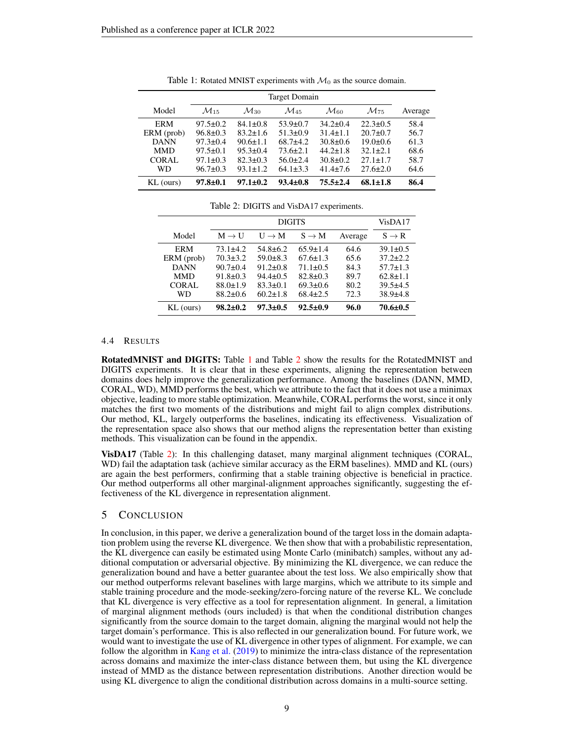<span id="page-8-0"></span>

| Model        | $\mathcal{M}_{15}$ | $\mathcal{M}_{30}$ | $\mathcal{M}_{45}$ | $\mathcal{M}_{60}$ | $\mathcal{M}_{75}$ | Average |
|--------------|--------------------|--------------------|--------------------|--------------------|--------------------|---------|
| ERM          | $97.5 \pm 0.2$     | $84.1 \pm 0.8$     | $53.9 \pm 0.7$     | $34.2 \pm 0.4$     | $22.3 \pm 0.5$     | 58.4    |
| ERM (prob)   | $96.8 \pm 0.3$     | $83.2 \pm 1.6$     | $51.3 \pm 0.9$     | $31.4 + 1.1$       | $20.7 \pm 0.7$     | 56.7    |
| <b>DANN</b>  | $97.3 \pm 0.4$     | $90.6 \pm 1.1$     | $68.7 + 4.2$       | $30.8 \pm 0.6$     | $19.0 \pm 0.6$     | 61.3    |
| <b>MMD</b>   | $97.5 \pm 0.1$     | $95.3 \pm 0.4$     | $73.6 \pm 2.1$     | $44.2 \pm 1.8$     | $32.1 + 2.1$       | 68.6    |
| <b>CORAL</b> | $97.1 \pm 0.3$     | $82.3 \pm 0.3$     | $56.0 \pm 2.4$     | $30.8 \pm 0.2$     | $27.1 + 1.7$       | 58.7    |
| WD           | $96.7 \pm 0.3$     | $93.1 + 1.2$       | $64.1 \pm 3.3$     | $41.4 + 7.6$       | $27.6 \pm 2.0$     | 64.6    |
| $KL$ (ours)  | $97.8 + 0.1$       | $97.1 + 0.2$       | $93.4 \pm 0.8$     | $75.5 + 2.4$       | $68.1 + 1.8$       | 86.4    |

Table 1: Rotated MNIST experiments with  $\mathcal{M}_0$  as the source domain.

<span id="page-8-1"></span>

|              |                   | VisDA17           |                |         |                |
|--------------|-------------------|-------------------|----------------|---------|----------------|
| Model        | $M \rightarrow U$ | $U \rightarrow M$ | $S \to M$      | Average | $S \to R$      |
| <b>ERM</b>   | $73.1 + 4.2$      | $54.8 \pm 6.2$    | $65.9 \pm 1.4$ | 64.6    | $39.1 \pm 0.5$ |
| ERM (prob)   | $70.3 \pm 3.2$    | $59.0 \pm 8.3$    | $67.6 \pm 1.3$ | 65.6    | $37.2 \pm 2.2$ |
| <b>DANN</b>  | $90.7 \pm 0.4$    | $91.2 \pm 0.8$    | $71.1 \pm 0.5$ | 84.3    | $57.7 \pm 1.3$ |
| <b>MMD</b>   | $91.8 \pm 0.3$    | $94.4 \pm 0.5$    | $82.8 \pm 0.3$ | 89.7    | $62.8 \pm 1.1$ |
| <b>CORAL</b> | $88.0 \pm 1.9$    | $83.3 \pm 0.1$    | $69.3 \pm 0.6$ | 80.2    | $39.5 + 4.5$   |
| WD           | $88.2 \pm 0.6$    | $60.2 \pm 1.8$    | $68.4 \pm 2.5$ | 72.3    | $38.9{\pm}4.8$ |
| KL (ours)    | $98.2 \pm 0.2$    | $97.3 \pm 0.5$    | $92.5 \pm 0.9$ | 96.0    | $70.6 \pm 0.5$ |

#### Table 2: DIGITS and VisDA17 experiments.

#### 4.4 RESULTS

RotatedMNIST and DIGITS: Table [1](#page-8-0) and Table [2](#page-8-1) show the results for the RotatedMNIST and DIGITS experiments. It is clear that in these experiments, aligning the representation between domains does help improve the generalization performance. Among the baselines (DANN, MMD, CORAL, WD), MMD performs the best, which we attribute to the fact that it does not use a minimax objective, leading to more stable optimization. Meanwhile, CORAL performs the worst, since it only matches the first two moments of the distributions and might fail to align complex distributions. Our method, KL, largely outperforms the baselines, indicating its effectiveness. Visualization of the representation space also shows that our method aligns the representation better than existing methods. This visualization can be found in the appendix.

VisDA17 (Table [2\)](#page-8-1): In this challenging dataset, many marginal alignment techniques (CORAL, WD) fail the adaptation task (achieve similar accuracy as the ERM baselines). MMD and KL (ours) are again the best performers, confirming that a stable training objective is beneficial in practice. Our method outperforms all other marginal-alignment approaches significantly, suggesting the effectiveness of the KL divergence in representation alignment.

# 5 CONCLUSION

In conclusion, in this paper, we derive a generalization bound of the target loss in the domain adaptation problem using the reverse KL divergence. We then show that with a probabilistic representation, the KL divergence can easily be estimated using Monte Carlo (minibatch) samples, without any additional computation or adversarial objective. By minimizing the KL divergence, we can reduce the generalization bound and have a better guarantee about the test loss. We also empirically show that our method outperforms relevant baselines with large margins, which we attribute to its simple and stable training procedure and the mode-seeking/zero-forcing nature of the reverse KL. We conclude that KL divergence is very effective as a tool for representation alignment. In general, a limitation of marginal alignment methods (ours included) is that when the conditional distribution changes significantly from the source domain to the target domain, aligning the marginal would not help the target domain's performance. This is also reflected in our generalization bound. For future work, we would want to investigate the use of KL divergence in other types of alignment. For example, we can follow the algorithm in [Kang et al.](#page-9-14) [\(2019\)](#page-9-14) to minimize the intra-class distance of the representation across domains and maximize the inter-class distance between them, but using the KL divergence instead of MMD as the distance between representation distributions. Another direction would be using KL divergence to align the conditional distribution across domains in a multi-source setting.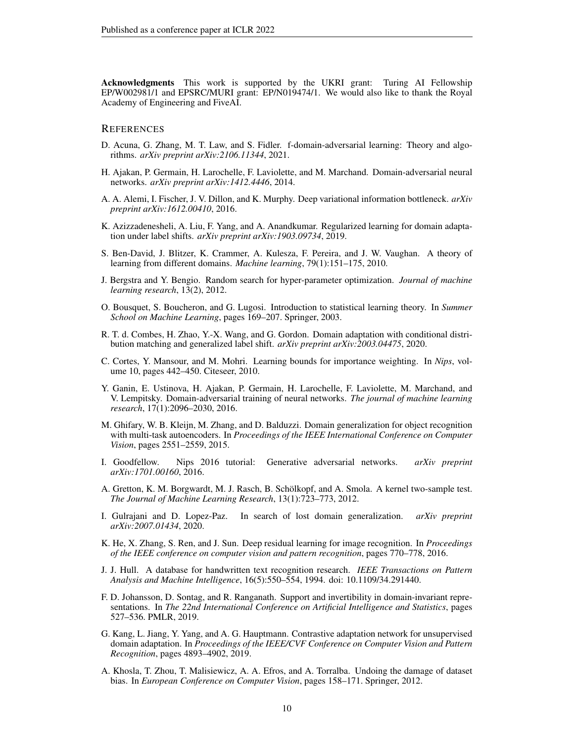Acknowledgments This work is supported by the UKRI grant: Turing AI Fellowship EP/W002981/1 and EPSRC/MURI grant: EP/N019474/1. We would also like to thank the Royal Academy of Engineering and FiveAI.

# **REFERENCES**

- <span id="page-9-10"></span>D. Acuna, G. Zhang, M. T. Law, and S. Fidler. f-domain-adversarial learning: Theory and algorithms. *arXiv preprint arXiv:2106.11344*, 2021.
- <span id="page-9-8"></span>H. Ajakan, P. Germain, H. Larochelle, F. Laviolette, and M. Marchand. Domain-adversarial neural networks. *arXiv preprint arXiv:1412.4446*, 2014.
- <span id="page-9-15"></span>A. A. Alemi, I. Fischer, J. V. Dillon, and K. Murphy. Deep variational information bottleneck. *arXiv preprint arXiv:1612.00410*, 2016.
- <span id="page-9-13"></span>K. Azizzadenesheli, A. Liu, F. Yang, and A. Anandkumar. Regularized learning for domain adaptation under label shifts. *arXiv preprint arXiv:1903.09734*, 2019.
- <span id="page-9-7"></span>S. Ben-David, J. Blitzer, K. Crammer, A. Kulesza, F. Pereira, and J. W. Vaughan. A theory of learning from different domains. *Machine learning*, 79(1):151–175, 2010.
- <span id="page-9-18"></span>J. Bergstra and Y. Bengio. Random search for hyper-parameter optimization. *Journal of machine learning research*, 13(2), 2012.
- <span id="page-9-9"></span>O. Bousquet, S. Boucheron, and G. Lugosi. Introduction to statistical learning theory. In *Summer School on Machine Learning*, pages 169–207. Springer, 2003.
- <span id="page-9-1"></span>R. T. d. Combes, H. Zhao, Y.-X. Wang, and G. Gordon. Domain adaptation with conditional distribution matching and generalized label shift. *arXiv preprint arXiv:2003.04475*, 2020.
- <span id="page-9-11"></span>C. Cortes, Y. Mansour, and M. Mohri. Learning bounds for importance weighting. In *Nips*, volume 10, pages 442–450. Citeseer, 2010.
- <span id="page-9-4"></span>Y. Ganin, E. Ustinova, H. Ajakan, P. Germain, H. Larochelle, F. Laviolette, M. Marchand, and V. Lempitsky. Domain-adversarial training of neural networks. *The journal of machine learning research*, 17(1):2096–2030, 2016.
- <span id="page-9-3"></span>M. Ghifary, W. B. Kleijn, M. Zhang, and D. Balduzzi. Domain generalization for object recognition with multi-task autoencoders. In *Proceedings of the IEEE International Conference on Computer Vision*, pages 2551–2559, 2015.
- <span id="page-9-5"></span>I. Goodfellow. Nips 2016 tutorial: Generative adversarial networks. *arXiv preprint arXiv:1701.00160*, 2016.
- <span id="page-9-6"></span>A. Gretton, K. M. Borgwardt, M. J. Rasch, B. Schölkopf, and A. Smola. A kernel two-sample test. *The Journal of Machine Learning Research*, 13(1):723–773, 2012.
- <span id="page-9-17"></span>I. Gulrajani and D. Lopez-Paz. In search of lost domain generalization. *arXiv preprint arXiv:2007.01434*, 2020.
- <span id="page-9-0"></span>K. He, X. Zhang, S. Ren, and J. Sun. Deep residual learning for image recognition. In *Proceedings of the IEEE conference on computer vision and pattern recognition*, pages 770–778, 2016.
- <span id="page-9-16"></span>J. J. Hull. A database for handwritten text recognition research. *IEEE Transactions on Pattern Analysis and Machine Intelligence*, 16(5):550–554, 1994. doi: 10.1109/34.291440.
- <span id="page-9-12"></span>F. D. Johansson, D. Sontag, and R. Ranganath. Support and invertibility in domain-invariant representations. In *The 22nd International Conference on Artificial Intelligence and Statistics*, pages 527–536. PMLR, 2019.
- <span id="page-9-14"></span>G. Kang, L. Jiang, Y. Yang, and A. G. Hauptmann. Contrastive adaptation network for unsupervised domain adaptation. In *Proceedings of the IEEE/CVF Conference on Computer Vision and Pattern Recognition*, pages 4893–4902, 2019.
- <span id="page-9-2"></span>A. Khosla, T. Zhou, T. Malisiewicz, A. A. Efros, and A. Torralba. Undoing the damage of dataset bias. In *European Conference on Computer Vision*, pages 158–171. Springer, 2012.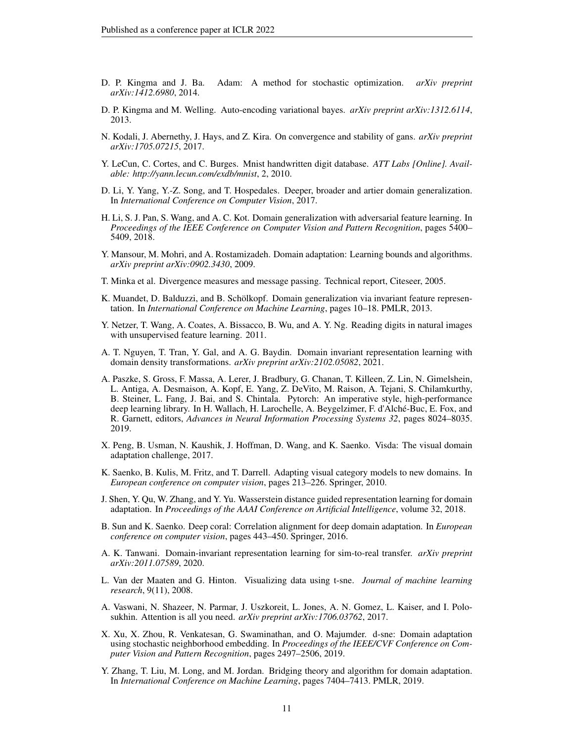- <span id="page-10-20"></span>D. P. Kingma and J. Ba. Adam: A method for stochastic optimization. *arXiv preprint arXiv:1412.6980*, 2014.
- <span id="page-10-12"></span>D. P. Kingma and M. Welling. Auto-encoding variational bayes. *arXiv preprint arXiv:1312.6114*, 2013.
- <span id="page-10-7"></span>N. Kodali, J. Abernethy, J. Hays, and Z. Kira. On convergence and stability of gans. *arXiv preprint arXiv:1705.07215*, 2017.
- <span id="page-10-13"></span>Y. LeCun, C. Cortes, and C. Burges. Mnist handwritten digit database. *ATT Labs [Online]. Available: http://yann.lecun.com/exdb/mnist*, 2, 2010.
- <span id="page-10-16"></span>D. Li, Y. Yang, Y.-Z. Song, and T. Hospedales. Deeper, broader and artier domain generalization. In *International Conference on Computer Vision*, 2017.
- <span id="page-10-5"></span>H. Li, S. J. Pan, S. Wang, and A. C. Kot. Domain generalization with adversarial feature learning. In *Proceedings of the IEEE Conference on Computer Vision and Pattern Recognition*, pages 5400– 5409, 2018.
- <span id="page-10-10"></span>Y. Mansour, M. Mohri, and A. Rostamizadeh. Domain adaptation: Learning bounds and algorithms. *arXiv preprint arXiv:0902.3430*, 2009.
- <span id="page-10-8"></span>T. Minka et al. Divergence measures and message passing. Technical report, Citeseer, 2005.
- <span id="page-10-3"></span>K. Muandet, D. Balduzzi, and B. Schölkopf. Domain generalization via invariant feature representation. In *International Conference on Machine Learning*, pages 10–18. PMLR, 2013.
- <span id="page-10-14"></span>Y. Netzer, T. Wang, A. Coates, A. Bissacco, B. Wu, and A. Y. Ng. Reading digits in natural images with unsupervised feature learning. 2011.
- <span id="page-10-4"></span>A. T. Nguyen, T. Tran, Y. Gal, and A. G. Baydin. Domain invariant representation learning with domain density transformations. *arXiv preprint arXiv:2102.05082*, 2021.
- <span id="page-10-17"></span>A. Paszke, S. Gross, F. Massa, A. Lerer, J. Bradbury, G. Chanan, T. Killeen, Z. Lin, N. Gimelshein, L. Antiga, A. Desmaison, A. Kopf, E. Yang, Z. DeVito, M. Raison, A. Tejani, S. Chilamkurthy, B. Steiner, L. Fang, J. Bai, and S. Chintala. Pytorch: An imperative style, high-performance deep learning library. In H. Wallach, H. Larochelle, A. Beygelzimer, F. d'Alche-Buc, E. Fox, and ´ R. Garnett, editors, *Advances in Neural Information Processing Systems 32*, pages 8024–8035. 2019.
- <span id="page-10-15"></span>X. Peng, B. Usman, N. Kaushik, J. Hoffman, D. Wang, and K. Saenko. Visda: The visual domain adaptation challenge, 2017.
- <span id="page-10-19"></span>K. Saenko, B. Kulis, M. Fritz, and T. Darrell. Adapting visual category models to new domains. In *European conference on computer vision*, pages 213–226. Springer, 2010.
- <span id="page-10-6"></span>J. Shen, Y. Qu, W. Zhang, and Y. Yu. Wasserstein distance guided representation learning for domain adaptation. In *Proceedings of the AAAI Conference on Artificial Intelligence*, volume 32, 2018.
- <span id="page-10-9"></span>B. Sun and K. Saenko. Deep coral: Correlation alignment for deep domain adaptation. In *European conference on computer vision*, pages 443–450. Springer, 2016.
- <span id="page-10-2"></span>A. K. Tanwani. Domain-invariant representation learning for sim-to-real transfer. *arXiv preprint arXiv:2011.07589*, 2020.
- <span id="page-10-18"></span>L. Van der Maaten and G. Hinton. Visualizing data using t-sne. *Journal of machine learning research*, 9(11), 2008.
- <span id="page-10-0"></span>A. Vaswani, N. Shazeer, N. Parmar, J. Uszkoreit, L. Jones, A. N. Gomez, L. Kaiser, and I. Polosukhin. Attention is all you need. *arXiv preprint arXiv:1706.03762*, 2017.
- <span id="page-10-11"></span>X. Xu, X. Zhou, R. Venkatesan, G. Swaminathan, and O. Majumder. d-sne: Domain adaptation using stochastic neighborhood embedding. In *Proceedings of the IEEE/CVF Conference on Computer Vision and Pattern Recognition*, pages 2497–2506, 2019.
- <span id="page-10-1"></span>Y. Zhang, T. Liu, M. Long, and M. Jordan. Bridging theory and algorithm for domain adaptation. In *International Conference on Machine Learning*, pages 7404–7413. PMLR, 2019.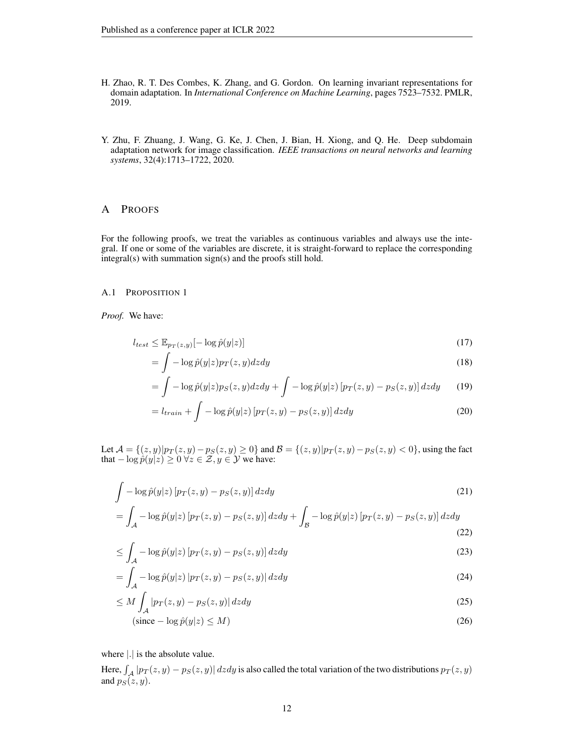- <span id="page-11-0"></span>H. Zhao, R. T. Des Combes, K. Zhang, and G. Gordon. On learning invariant representations for domain adaptation. In *International Conference on Machine Learning*, pages 7523–7532. PMLR, 2019.
- <span id="page-11-1"></span>Y. Zhu, F. Zhuang, J. Wang, G. Ke, J. Chen, J. Bian, H. Xiong, and Q. He. Deep subdomain adaptation network for image classification. *IEEE transactions on neural networks and learning systems*, 32(4):1713–1722, 2020.

### A PROOFS

For the following proofs, we treat the variables as continuous variables and always use the integral. If one or some of the variables are discrete, it is straight-forward to replace the corresponding integral(s) with summation sign(s) and the proofs still hold.

# A.1 PROPOSITION 1

*Proof.* We have:

$$
l_{test} \le \mathbb{E}_{p_T(z,y)}[-\log \hat{p}(y|z)]\tag{17}
$$

$$
= \int -\log \hat{p}(y|z)p_T(z,y)dzdy \tag{18}
$$

$$
= \int -\log \hat{p}(y|z)p_S(z,y)dzdy + \int -\log \hat{p}(y|z) \left[p_T(z,y) - p_S(z,y)\right]dzdy \qquad (19)
$$

$$
= l_{train} + \int -\log \hat{p}(y|z) \left[ p_T(z, y) - p_S(z, y) \right] dz dy \tag{20}
$$

Let  $\mathcal{A} = \{(z, y)|p_T(z, y) - p_S(z, y) \ge 0\}$  and  $\mathcal{B} = \{(z, y)|p_T(z, y) - p_S(z, y) < 0\}$ , using the fact that  $-\log \hat{p}(y|z) \ge 0 \,\forall z \in \mathcal{Z}, y \in \mathcal{Y}$  we have:

$$
\int -\log \hat{p}(y|z) \left[ p_T(z, y) - p_S(z, y) \right] dz dy
$$
\n
$$
= \int_A -\log \hat{p}(y|z) \left[ p_T(z, y) - p_S(z, y) \right] dz dy + \int_B -\log \hat{p}(y|z) \left[ p_T(z, y) - p_S(z, y) \right] dz dy
$$
\n(22)

$$
\leq \int_{\mathcal{A}} -\log \hat{p}(y|z) \left[ p_T(z, y) - p_S(z, y) \right] dz dy \tag{23}
$$

$$
= \int_{\mathcal{A}} -\log \hat{p}(y|z) \left| p_T(z, y) - p_S(z, y) \right| dz dy \tag{24}
$$

$$
\leq M \int_{\mathcal{A}} |p_T(z, y) - p_S(z, y)| \, dz dy \tag{25}
$$

$$
(\text{since} - \log \hat{p}(y|z) \le M) \tag{26}
$$

where |.| is the absolute value.

Here,  $\int_{\mathcal{A}}|p_T(z,y)-p_S(z,y)|\,dzdy$  is also called the total variation of the two distributions  $p_T(z,y)$ and  $p_S(z, y)$ .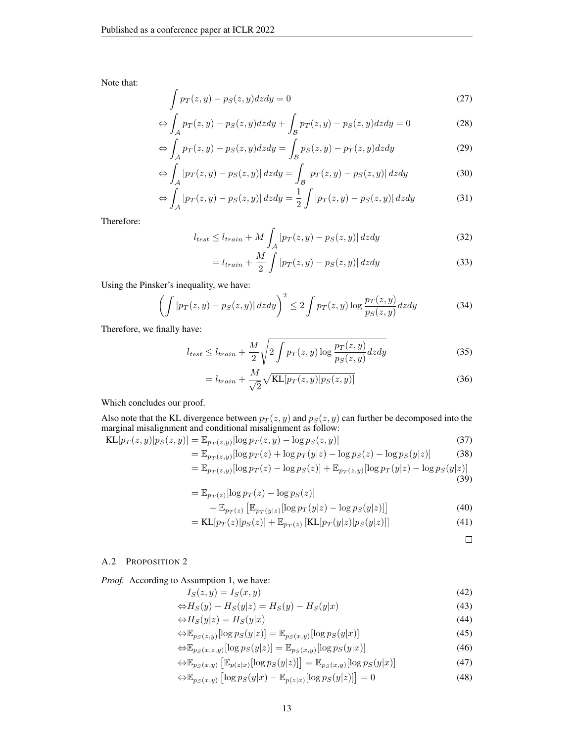Note that:

$$
\int p_T(z, y) - p_S(z, y) dz dy = 0 \tag{27}
$$

$$
\Leftrightarrow \int_{\mathcal{A}} p_T(z, y) - p_S(z, y) dz dy + \int_{\mathcal{B}} p_T(z, y) - p_S(z, y) dz dy = 0 \tag{28}
$$

$$
\Leftrightarrow \int_{\mathcal{A}} p_T(z, y) - p_S(z, y) dz dy = \int_{\mathcal{B}} p_S(z, y) - p_T(z, y) dz dy \tag{29}
$$

$$
\Leftrightarrow \int_{A} |p_T(z, y) - p_S(z, y)| \, dz dy = \int_{B} |p_T(z, y) - p_S(z, y)| \, dz dy \tag{30}
$$

$$
\Leftrightarrow \int_{\mathcal{A}} |p_T(z, y) - p_S(z, y)| \, dz dy = \frac{1}{2} \int |p_T(z, y) - p_S(z, y)| \, dz dy \tag{31}
$$

Therefore:

$$
l_{test} \le l_{train} + M \int_{\mathcal{A}} |p_T(z, y) - p_S(z, y)| \, dz dy \tag{32}
$$

$$
= l_{train} + \frac{M}{2} \int |p_T(z, y) - p_S(z, y)| \, dz \, dy \tag{33}
$$

Using the Pinsker's inequality, we have:

$$
\left(\int |p_T(z,y) - p_S(z,y)| \, dz \, dy\right)^2 \le 2 \int p_T(z,y) \log \frac{p_T(z,y)}{p_S(z,y)} \, dz \, dy\tag{34}
$$

Therefore, we finally have:

$$
l_{test} \le l_{train} + \frac{M}{2} \sqrt{2 \int p_T(z, y) \log \frac{p_T(z, y)}{p_S(z, y)} dz dy}
$$
(35)

$$
= l_{train} + \frac{M}{\sqrt{2}} \sqrt{KL[p_T(z, y) | p_S(z, y)]}
$$
\n(36)

Which concludes our proof.

Also note that the KL divergence between  $p_T(z, y)$  and  $p_S(z, y)$  can further be decomposed into the marginal misalignment and conditional misalignment as follow:

$$
KL[p_T(z, y) | p_S(z, y)] = \mathbb{E}_{p_T(z, y)} [\log p_T(z, y) - \log p_S(z, y)]
$$
\n
$$
= \mathbb{E}_{p_T(z, y)} [\log p_T(z) + \log p_T(y|z) - \log p_S(z) - \log p_S(y|z)]
$$
\n(37)

$$
= \mathbb{E}_{p_T(z,y)}[\log p_T(z) - \log p_S(z)] + \mathbb{E}_{p_T(z,y)}[\log p_T(y|z) - \log p_S(y|z)]
$$

$$
(39)
$$

$$
= \mathbb{E}_{p_T(z)}[\log p_T(z) - \log p_S(z)]
$$
  
+ 
$$
\mathbb{E}_{p_T(z)} [\mathbb{E}_{p_T(y|z)}[\log p_T(y|z) - \log p_S(y|z)]]
$$
 (40)

$$
P_{T}(z) \left[ \begin{array}{cc} P_{T}(g|z) & \mathcal{F}_{T}(g|\mathcal{F}) \end{array} \right] \tag{11}
$$
  
= 
$$
\mathbf{K} \left[ \ln_{\mathbf{m}}(z) \ln_{\mathbf{m}}(z) \right] + \mathbf{F} \tag{11}
$$

$$
=KL[p_T(z)|p_S(z)] + \mathbb{E}_{p_T(z)}[KL[p_T(y|z)|p_S(y|z)]]
$$
\n(41)

 $\Box$ 

# A.2 PROPOSITION 2

*Proof.* According to Assumption 1, we have:

$$
I_S(z, y) = I_S(x, y) \tag{42}
$$

$$
\Leftrightarrow H_S(y) - H_S(y|z) = H_S(y) - H_S(y|x)
$$
\n(43)

$$
\Leftrightarrow H_S(y|z) = H_S(y|x) \tag{44}
$$

$$
\Leftrightarrow \mathbb{E}_{p_S(z,y)}[\log p_S(y|z)] = \mathbb{E}_{p_S(x,y)}[\log p_S(y|x)] \tag{45}
$$

$$
\Leftrightarrow \mathbb{E}_{p_S(x,z,y)}[\log p_S(y|z)] = \mathbb{E}_{p_S(x,y)}[\log p_S(y|x)] \tag{46}
$$

$$
\Leftrightarrow \mathbb{E}_{p_S(x,y)} \left[ \mathbb{E}_{p(z|x)} [\log p_S(y|z)] \right] = \mathbb{E}_{p_S(x,y)} [\log p_S(y|x)] \tag{47}
$$

$$
\Leftrightarrow \mathbb{E}_{p_S(x,y)} \left[ \log p_S(y|x) - \mathbb{E}_{p(z|x)}[\log p_S(y|z)] \right] = 0 \tag{48}
$$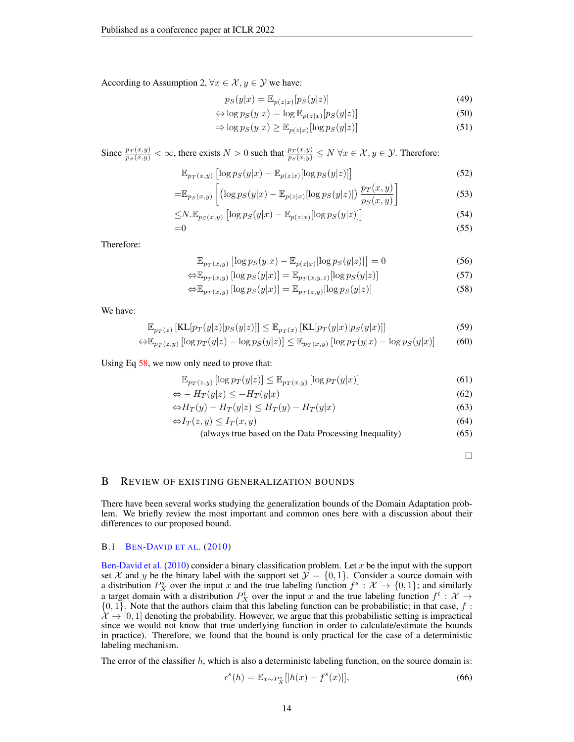According to Assumption 2,  $\forall x \in \mathcal{X}, y \in \mathcal{Y}$  we have:

$$
p_S(y|x) = \mathbb{E}_{p(z|x)}[p_S(y|z)]
$$
\n(49)

$$
\Leftrightarrow \log p_S(y|x) = \log \mathbb{E}_{p(z|x)}[p_S(y|z)] \tag{50}
$$

$$
\Rightarrow \log p_S(y|x) \ge \mathbb{E}_{p(z|x)}[\log p_S(y|z)] \tag{51}
$$

Since  $\frac{p_T(x,y)}{p_S(x,y)} < \infty$ , there exists  $N > 0$  such that  $\frac{p_T(x,y)}{p_S(x,y)} \le N \ \forall x \in \mathcal{X}, y \in \mathcal{Y}$ . Therefore:

$$
\mathbb{E}_{p_T(x,y)}\left[\log p_S(y|x) - \mathbb{E}_{p(z|x)}[\log p_S(y|z)]\right]
$$
\n(52)

$$
=\mathbb{E}_{p_S(x,y)}\left[\left(\log p_S(y|x)-\mathbb{E}_{p(z|x)}[\log p_S(y|z)]\right)\frac{p_T(x,y)}{p_S(x,y)}\right]
$$
\n(53)

$$
\leq N \mathbb{E}_{p_S(x,y)} \left[ \log p_S(y|x) - \mathbb{E}_{p(z|x)} [\log p_S(y|z)] \right]
$$
\n
$$
= 0 \tag{55}
$$

Therefore:

$$
\mathbb{E}_{p_T(x,y)}\left[\log p_S(y|x) - \mathbb{E}_{p(z|x)}[\log p_S(y|z)]\right] = 0\tag{56}
$$

$$
\Leftrightarrow \mathbb{E}_{p_T(x,y)}\left[\log p_S(y|x)\right] = \mathbb{E}_{p_T(x,y,z)}\left[\log p_S(y|z)\right] \tag{57}
$$

$$
\Leftrightarrow \mathbb{E}_{p_T(x,y)} [\log p_S(y|x)] = \mathbb{E}_{p_T(z,y)} [\log p_S(y|z)] \tag{58}
$$

We have:

$$
\mathbb{E}_{p_T(z)}\left[\text{KL}[p_T(y|z)|p_S(y|z)]\right] \le \mathbb{E}_{p_T(x)}\left[\text{KL}[p_T(y|x)|p_S(y|x)]\right] \tag{59}
$$

$$
\Leftrightarrow \mathbb{E}_{p_T(z,y)} \left[ \log p_T(y|z) - \log p_S(y|z) \right] \le \mathbb{E}_{p_T(x,y)} \left[ \log p_T(y|x) - \log p_S(y|x) \right] \tag{60}
$$

# Using Eq [58,](#page-13-0) we now only need to prove that:

$$
\mathbb{E}_{p_T(z,y)}\left[\log p_T(y|z)\right] \le \mathbb{E}_{p_T(x,y)}\left[\log p_T(y|x)\right] \tag{61}
$$

$$
\Leftrightarrow -H_T(y|z) \le -H_T(y|x) \tag{62}
$$

$$
\Leftrightarrow H_T(y) - H_T(y|z) \le H_T(y) - H_T(y|x) \tag{63}
$$

$$
\Leftrightarrow I_T(z, y) \le I_T(x, y) \tag{64}
$$

(always true based on the Data Processing Inequality) (65)

<span id="page-13-0"></span> $\Box$ 

# B REVIEW OF EXISTING GENERALIZATION BOUNDS

There have been several works studying the generalization bounds of the Domain Adaptation problem. We briefly review the most important and common ones here with a discussion about their differences to our proposed bound.

### B.1 BEN-D[AVID ET AL](#page-9-7). [\(2010\)](#page-9-7)

[Ben-David et al.](#page-9-7) [\(2010\)](#page-9-7) consider a binary classification problem. Let  $x$  be the input with the support set X and y be the binary label with the support set  $\mathcal{Y} = \{0, 1\}$ . Consider a source domain with a distribution  $P_X^s$  over the input x and the true labeling function  $f^s: X \to \{0,1\}$ ; and similarly a target domain with a distribution  $P_X^t$  over the input x and the true labeling function  $f^t : X \rightarrow$  $\{0, 1\}$ . Note that the authors claim that this labeling function can be probabilistic; in that case, f:  $\mathcal{X} \to [0, 1]$  denoting the probability. However, we argue that this probabilistic setting is impractical since we would not know that true underlying function in order to calculate/estimate the bounds in practice). Therefore, we found that the bound is only practical for the case of a deterministic labeling mechanism.

The error of the classifier  $h$ , which is also a deterministc labeling function, on the source domain is:

$$
\epsilon^s(h) = \mathbb{E}_{x \sim P_X^s}[|h(x) - f^s(x)|],\tag{66}
$$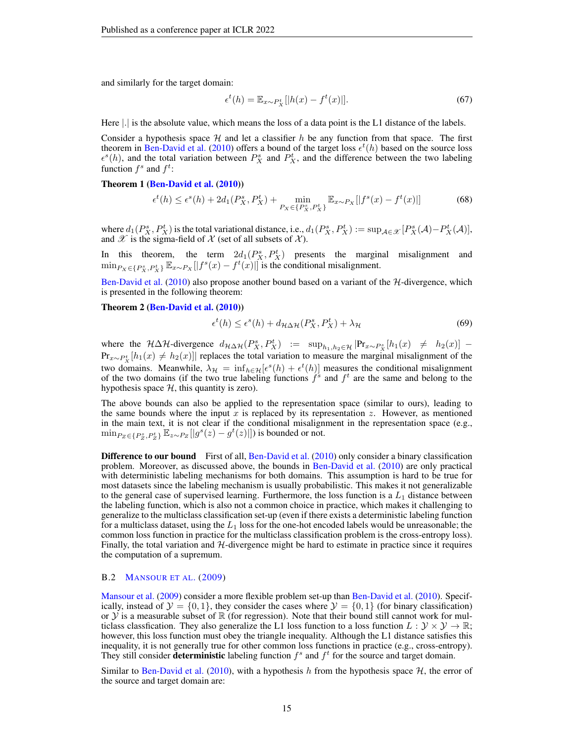and similarly for the target domain:

$$
\epsilon^t(h) = \mathbb{E}_{x \sim P_X^t}[|h(x) - f^t(x)|]. \tag{67}
$$

Here |.| is the absolute value, which means the loss of a data point is the L1 distance of the labels.

Consider a hypothesis space  $H$  and let a classifier h be any function from that space. The first theorem in [Ben-David et al.](#page-9-7) [\(2010\)](#page-9-7) offers a bound of the target loss  $\epsilon^t(h)$  based on the source loss  $\epsilon^{s}(h)$ , and the total variation between  $P_{X}^{s}$  and  $P_{X}^{t}$ , and the difference between the two labeling function  $f^s$  and  $f^t$ :

#### Theorem 1 [\(Ben-David et al.](#page-9-7) [\(2010\)](#page-9-7))

$$
\epsilon^t(h) \le \epsilon^s(h) + 2d_1(P_X^s, P_X^t) + \min_{P_X \in \{P_X^s, P_X^t\}} \mathbb{E}_{x \sim P_X} [|f^s(x) - f^t(x)|] \tag{68}
$$

where  $d_1(P_X^s, P_X^t)$  is the total variational distance, i.e.,  $d_1(P_X^s, P_X^t) := \sup_{\mathcal{A} \in \mathcal{X}} [P_X^s(\mathcal{A}) - P_X^t(\mathcal{A})]$ , and  $\mathscr X$  is the sigma-field of  $\mathscr X$  (set of all subsets of  $\mathscr X$ ).

In this theorem, the term  $2d_1(P_X^s, P_X^t)$  presents the marginal misalignment and  $\min_{P_X \in \{P_X^s, P_X^t\}} \mathbb{E}_{x \sim P_X} [f^s(x) - f^t(x)]$  is the conditional misalignment.

[Ben-David et al.](#page-9-7) [\(2010\)](#page-9-7) also propose another bound based on a variant of the H-divergence, which is presented in the following theorem:

# Theorem 2 [\(Ben-David et al.](#page-9-7) [\(2010\)](#page-9-7))

$$
\epsilon^t(h) \le \epsilon^s(h) + d_{\mathcal{H}\Delta\mathcal{H}}(P_X^s, P_X^t) + \lambda_{\mathcal{H}}
$$
\n(69)

where the  $H\Delta H$ -divergence  $d_{H\Delta H}(P_X^s, P_X^t) := \sup_{h_1, h_2 \in \mathcal{H}} |\Pr_{x \sim P_X^s}[h_1(x) \neq h_2(x)]$  –  $Pr_{x \sim P_X^t}[h_1(x) \neq h_2(x)]$  replaces the total variation to measure the marginal misalignment of the two domains. Meanwhile,  $\lambda_{\mathcal{H}} = \inf_{h \in \mathcal{H}} [\epsilon^s(h) + \epsilon^t(h)]$  measures the conditional misalignment of the two domains (if the two true labeling functions  $f^s$  and  $f^t$  are the same and belong to the hypothesis space  $H$ , this quantity is zero).

The above bounds can also be applied to the representation space (similar to ours), leading to the same bounds where the input x is replaced by its representation z. However, as mentioned in the main text, it is not clear if the conditional misalignment in the representation space (e.g.,  $\min_{P_Z \in \{P_Z^s, P_Z^t\}} \mathbb{E}_{z \sim P_Z} [|g^s(z) - g^t(z)|]$  is bounded or not.

**Difference to our bound** First of all, [Ben-David et al.](#page-9-7) [\(2010\)](#page-9-7) only consider a binary classification problem. Moreover, as discussed above, the bounds in [Ben-David et al.](#page-9-7) [\(2010\)](#page-9-7) are only practical with deterministic labeling mechanisms for both domains. This assumption is hard to be true for most datasets since the labeling mechanism is usually probabilistic. This makes it not generalizable to the general case of supervised learning. Furthermore, the loss function is a  $L_1$  distance between the labeling function, which is also not a common choice in practice, which makes it challenging to generalize to the multiclass classification set-up (even if there exists a deterministic labeling function for a multiclass dataset, using the  $L_1$  loss for the one-hot encoded labels would be unreasonable; the common loss function in practice for the multiclass classification problem is the cross-entropy loss). Finally, the total variation and  $H$ -divergence might be hard to estimate in practice since it requires the computation of a supremum.

#### B.2 M[ANSOUR ET AL](#page-10-10). [\(2009\)](#page-10-10)

[Mansour et al.](#page-10-10) [\(2009\)](#page-10-10) consider a more flexible problem set-up than [Ben-David et al.](#page-9-7) [\(2010\)](#page-9-7). Specifically, instead of  $\mathcal{Y} = \{0, 1\}$ , they consider the cases where  $\mathcal{Y} = \{0, 1\}$  (for binary classification) or  $Y$  is a measurable subset of  $\mathbb R$  (for regression). Note that their bound still cannot work for multiclass classfication. They also generalize the L1 loss function to a loss function  $L: \mathcal{Y} \times \mathcal{Y} \to \mathbb{R}$ ; however, this loss function must obey the triangle inequality. Although the L1 distance satisfies this inequality, it is not generally true for other common loss functions in practice (e.g., cross-entropy). They still consider **deterministic** labeling function  $f^s$  and  $f^t$  for the source and target domain.

Similar to [Ben-David et al.](#page-9-7) [\(2010\)](#page-9-7), with a hypothesis h from the hypothesis space  $H$ , the error of the source and target domain are: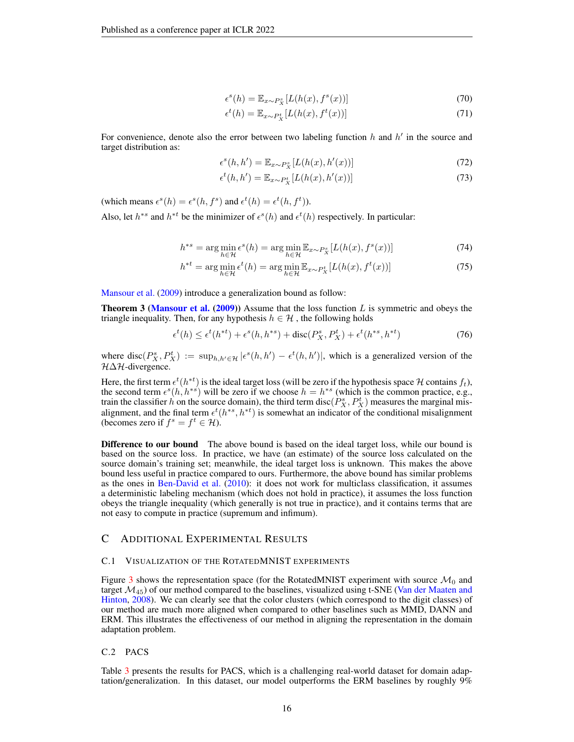$$
\epsilon^s(h) = \mathbb{E}_{x \sim P_X^s}[L(h(x), f^s(x))]
$$
\n(70)

$$
\epsilon^t(h) = \mathbb{E}_{x \sim P_X^t}[L(h(x), f^t(x))]
$$
\n(71)

For convenience, denote also the error between two labeling function  $h$  and  $h'$  in the source and target distribution as:

$$
\epsilon^{s}(h, h') = \mathbb{E}_{x \sim P_X^s}[L(h(x), h'(x))]
$$
\n(72)

$$
\epsilon^t(h, h') = \mathbb{E}_{x \sim P_X^t}[L(h(x), h'(x))]
$$
\n(73)

(which means  $\epsilon^{s}(h) = \epsilon^{s}(h, f^{s})$  and  $\epsilon^{t}(h) = \epsilon^{t}(h, f^{t})$ ).

Also, let  $h^{*s}$  and  $h^{*t}$  be the minimizer of  $\epsilon^{s}(h)$  and  $\epsilon^{t}(h)$  respectively. In particular:

$$
h^{*s} = \arg\min_{h \in \mathcal{H}} \epsilon^s(h) = \arg\min_{h \in \mathcal{H}} \mathbb{E}_{x \sim P_X^s}[L(h(x), f^s(x))]
$$
(74)

$$
h^{*t} = \arg\min_{h \in \mathcal{H}} \epsilon^t(h) = \arg\min_{h \in \mathcal{H}} \mathbb{E}_{x \sim P_X^t}[L(h(x), f^t(x))]
$$
(75)

[Mansour et al.](#page-10-10) [\(2009\)](#page-10-10) introduce a generalization bound as follow:

**Theorem 3 [\(Mansour et al.](#page-10-10) [\(2009\)](#page-10-10))** Assume that the loss function  $L$  is symmetric and obeys the triangle inequality. Then, for any hypothesis  $h \in \mathcal{H}$ , the following holds

$$
\epsilon^t(h) \le \epsilon^t(h^{*t}) + \epsilon^s(h, h^{*s}) + \text{disc}(P_X^s, P_X^t) + \epsilon^t(h^{*s}, h^{*t})
$$
\n
$$
(76)
$$

where disc $(P_X^s, P_X^t) := \sup_{h,h' \in \mathcal{H}} |\epsilon^s(h,h') - \epsilon^t(h,h')|$ , which is a generalized version of the  $H\Delta H$ -divergence.

Here, the first term  $\epsilon^t(h^{*t})$  is the ideal target loss (will be zero if the hypothesis space H contains  $f_t$ ), the second term  $\epsilon^{s}(h, h^{*s})$  will be zero if we choose  $h = h^{*s}$  (which is the common practice, e.g., train the classifier h on the source domain), the third term disc( $P_X^s$ ,  $P_X^t$ ) measures the marginal misalignment, and the final term  $\epsilon^t(h^{*s}, h^{*t})$  is somewhat an indicator of the conditional misalignment (becomes zero if  $f^s = f^t \in \mathcal{H}$ ).

Difference to our bound The above bound is based on the ideal target loss, while our bound is based on the source loss. In practice, we have (an estimate) of the source loss calculated on the source domain's training set; meanwhile, the ideal target loss is unknown. This makes the above bound less useful in practice compared to ours. Furthermore, the above bound has similar problems as the ones in [Ben-David et al.](#page-9-7) [\(2010\)](#page-9-7): it does not work for multiclass classification, it assumes a deterministic labeling mechanism (which does not hold in practice), it assumes the loss function obeys the triangle inequality (which generally is not true in practice), and it contains terms that are not easy to compute in practice (supremum and infimum).

# C ADDITIONAL EXPERIMENTAL RESULTS

### C.1 VISUALIZATION OF THE ROTATEDMNIST EXPERIMENTS

Figure [3](#page-16-1) shows the representation space (for the RotatedMNIST experiment with source  $\mathcal{M}_0$  and target  $\mathcal{M}_{45}$ ) of our method compared to the baselines, visualized using t-SNE [\(Van der Maaten and](#page-10-18) [Hinton,](#page-10-18) [2008\)](#page-10-18). We can clearly see that the color clusters (which correspond to the digit classes) of our method are much more aligned when compared to other baselines such as MMD, DANN and ERM. This illustrates the effectiveness of our method in aligning the representation in the domain adaptation problem.

### C.2 PACS

Table [3](#page-17-0) presents the results for PACS, which is a challenging real-world dataset for domain adaptation/generalization. In this dataset, our model outperforms the ERM baselines by roughly 9%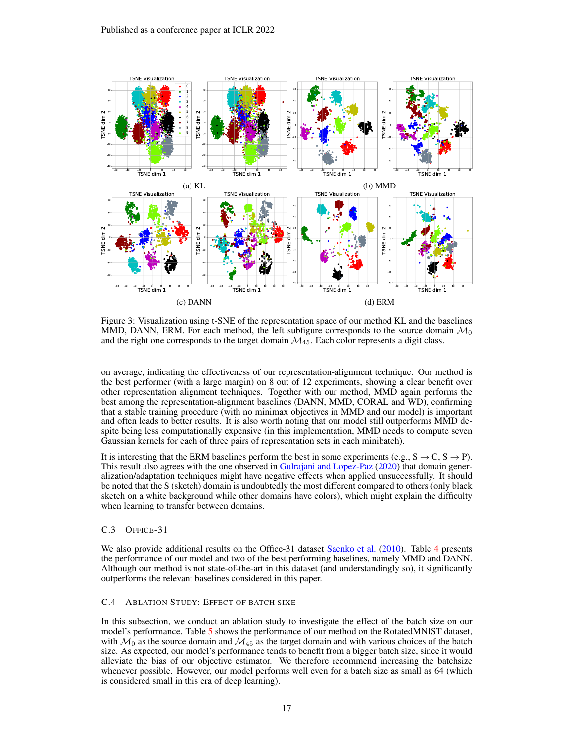<span id="page-16-1"></span>

Figure 3: Visualization using t-SNE of the representation space of our method KL and the baselines MMD, DANN, ERM. For each method, the left subfigure corresponds to the source domain  $\mathcal{M}_0$ and the right one corresponds to the target domain  $\mathcal{M}_{45}$ . Each color represents a digit class.

on average, indicating the effectiveness of our representation-alignment technique. Our method is the best performer (with a large margin) on 8 out of 12 experiments, showing a clear benefit over other representation alignment techniques. Together with our method, MMD again performs the best among the representation-alignment baselines (DANN, MMD, CORAL and WD), confirming that a stable training procedure (with no minimax objectives in MMD and our model) is important and often leads to better results. It is also worth noting that our model still outperforms MMD despite being less computationally expensive (in this implementation, MMD needs to compute seven Gaussian kernels for each of three pairs of representation sets in each minibatch).

It is interesting that the ERM baselines perform the best in some experiments (e.g.,  $S \rightarrow C$ ,  $S \rightarrow P$ ). This result also agrees with the one observed in [Gulrajani and Lopez-Paz](#page-9-17) [\(2020\)](#page-9-17) that domain generalization/adaptation techniques might have negative effects when applied unsuccessfully. It should be noted that the S (sketch) domain is undoubtedly the most different compared to others (only black sketch on a white background while other domains have colors), which might explain the difficulty when learning to transfer between domains.

# C.3 OFFICE-31

We also provide additional results on the Office-31 dataset [Saenko et al.](#page-10-19) [\(2010\)](#page-10-19). Table [4](#page-17-1) presents the performance of our model and two of the best performing baselines, namely MMD and DANN. Although our method is not state-of-the-art in this dataset (and understandingly so), it significantly outperforms the relevant baselines considered in this paper.

# <span id="page-16-0"></span>C.4 ABLATION STUDY: EFFECT OF BATCH SIXE

In this subsection, we conduct an ablation study to investigate the effect of the batch size on our model's performance. Table [5](#page-17-2) shows the performance of our method on the RotatedMNIST dataset, with  $\mathcal{M}_0$  as the source domain and  $\mathcal{M}_{45}$  as the target domain and with various choices of the batch size. As expected, our model's performance tends to benefit from a bigger batch size, since it would alleviate the bias of our objective estimator. We therefore recommend increasing the batchsize whenever possible. However, our model performs well even for a batch size as small as 64 (which is considered small in this era of deep learning).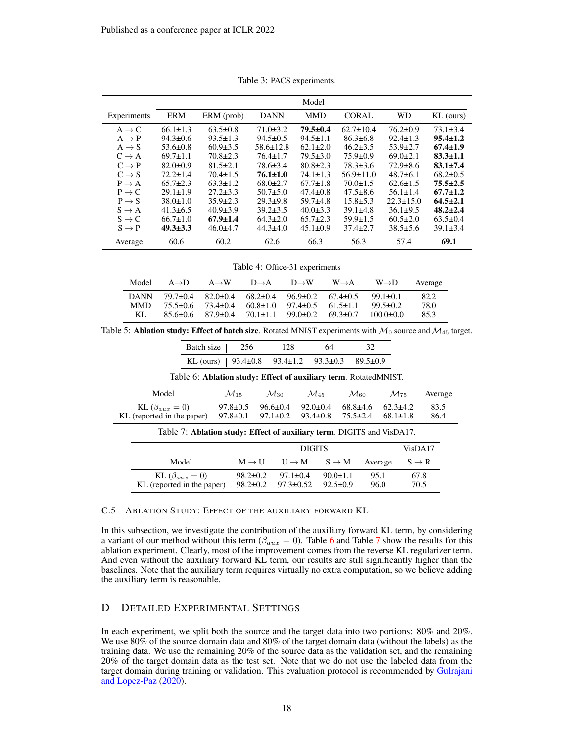<span id="page-17-0"></span>

|                   | Model          |                |                 |                |                 |                 |                |
|-------------------|----------------|----------------|-----------------|----------------|-----------------|-----------------|----------------|
| Experiments       | <b>ERM</b>     | ERM (prob)     | <b>DANN</b>     | <b>MMD</b>     | <b>CORAL</b>    | <b>WD</b>       | $KL$ (ours)    |
| $A \rightarrow C$ | $66.1 \pm 1.3$ | $63.5 \pm 0.8$ | $71.0 \pm 3.2$  | $79.5 \pm 0.4$ | $62.7 \pm 10.4$ | $76.2 \pm 0.9$  | $73.1 \pm 3.4$ |
| $A \rightarrow P$ | $94.3 \pm 0.6$ | $93.5 \pm 1.3$ | $94.5 \pm 0.5$  | $94.5 \pm 1.1$ | $86.3 \pm 6.8$  | $92.4 \pm 1.3$  | $95.4 \pm 1.2$ |
| $A \rightarrow S$ | $53.6 \pm 0.8$ | $60.9 \pm 3.5$ | $58.6 \pm 12.8$ | $62.1 \pm 2.0$ | $46.2 \pm 3.5$  | $53.9 \pm 2.7$  | $67.4 \pm 1.9$ |
| $C \rightarrow A$ | $69.7 \pm 1.1$ | $70.8 \pm 2.3$ | $76.4 \pm 1.7$  | $79.5 \pm 3.0$ | $75.9 \pm 0.9$  | $69.0 \pm 2.1$  | $83.3 \pm 1.1$ |
| $C \rightarrow P$ | $82.0 \pm 0.9$ | $81.5 \pm 2.1$ | $78.6 \pm 3.4$  | $80.8 \pm 2.3$ | $78.3 \pm 3.6$  | $72.9 \pm 8.6$  | $83.1 \pm 7.4$ |
| $C \rightarrow S$ | $72.2 \pm 1.4$ | $70.4 \pm 1.5$ | $76.1 \pm 1.0$  | $74.1 \pm 1.3$ | $56.9 \pm 11.0$ | $48.7\pm 6.1$   | $68.2 \pm 0.5$ |
| $P \rightarrow A$ | $65.7 \pm 2.3$ | $63.3 \pm 1.2$ | $68.0 \pm 2.7$  | $67.7 \pm 1.8$ | $70.0 \pm 1.5$  | $62.6 \pm 1.5$  | $75.5 \pm 2.5$ |
| $P \rightarrow C$ | $29.1 \pm 1.9$ | $27.2 \pm 3.3$ | $50.7 \pm 5.0$  | $47.4 \pm 0.8$ | $47.5 \pm 8.6$  | $56.1 \pm 1.4$  | $67.7 \pm 1.2$ |
| $P \rightarrow S$ | $38.0 \pm 1.0$ | $35.9 \pm 2.3$ | $29.3+9.8$      | $59.7+4.8$     | $15.8 \pm 5.3$  | $22.3 \pm 15.0$ | $64.5 \pm 2.1$ |
| $S \rightarrow A$ | $41.3 \pm 6.5$ | $40.9 \pm 3.9$ | $39.2 \pm 3.5$  | $40.0 \pm 3.3$ | $39.1 \pm 4.8$  | $36.1 \pm 9.5$  | $48.2 \pm 2.4$ |
| $S \rightarrow C$ | $66.7 \pm 1.0$ | $67.9 \pm 1.4$ | $64.3 \pm 2.0$  | $65.7 \pm 2.3$ | $59.9 \pm 1.5$  | $60.5 \pm 2.0$  | $63.5 \pm 0.4$ |
| $S \rightarrow P$ | $49.3 \pm 3.3$ | $46.0 \pm 4.7$ | $44.3 \pm 4.0$  | $45.1 \pm 0.9$ | $37.4 \pm 2.7$  | $38.5 \pm 5.6$  | $39.1 \pm 3.4$ |
| Average           | 60.6           | 60.2           | 62.6            | 66.3           | 56.3            | 57.4            | 69.1           |

Table 3: PACS experiments.

Table 4: Office-31 experiments

<span id="page-17-1"></span>

| Model       | $A \rightarrow D$ | $A \rightarrow W$ | $D \rightarrow A$ | $D \rightarrow W$ | $W \rightarrow A$ | $W \rightarrow D$ | Average |
|-------------|-------------------|-------------------|-------------------|-------------------|-------------------|-------------------|---------|
| <b>DANN</b> | $79.7 + 0.4$      | $82.0 + 0.4$      | $68.2 \pm 0.4$    | $96.9 + 0.2$      | $67.4 + 0.5$      | $99.1 + 0.1$      | 82.2    |
| <b>MMD</b>  | $75.5 + 0.6$      | $73.4 + 0.4$      | $60.8 + 1.0$      | $97.4 + 0.5$      | $61.5 + 1.1$      | $99.5 + 0.2$      | 78.0    |
| KL.         | $85.6 + 0.6$      | $87.9 + 0.4$      | $70.1 + 1.1$      | $99.0 \pm 0.2$    | $69.3 + 0.7$      | $100.0 + 0.0$     | 85.3    |

<span id="page-17-2"></span>Table 5: Ablation study: Effect of batch size. Rotated MNIST experiments with  $\mathcal{M}_0$  source and  $\mathcal{M}_{45}$  target.

<span id="page-17-3"></span>

| Batch size                                                             | 256                |                                  | 128               | 64                               |                    |                    |           |  |
|------------------------------------------------------------------------|--------------------|----------------------------------|-------------------|----------------------------------|--------------------|--------------------|-----------|--|
| KL (ours)                                                              | $93.4 \pm 0.8$     |                                  | $93.4 \pm 1.2$    | $93.3 \pm 0.3$                   | $89.5 \pm 0.9$     |                    |           |  |
| Table 6: Ablation study: Effect of auxiliary term. RotatedMNIST.       |                    |                                  |                   |                                  |                    |                    |           |  |
| Model                                                                  | $\mathcal{M}_{15}$ | $\mathcal{M}_{30}$               |                   | $\mathcal{M}_{45}$               | $\mathcal{M}_{60}$ | $\mathcal{M}_{75}$ | Average   |  |
| KL $(\beta_{aux}=0)$                                                   |                    | $97.8 \pm 0.5$<br>$96.6 \pm 0.4$ |                   | $92.0 \pm 0.4$                   | $68.8 \pm 4.6$     | $62.3+4.2$         | 83.5      |  |
| KL (reported in the paper)<br>$97.8 \pm 0.1$                           |                    |                                  | $97.1 \pm 0.2$    | $75.5 \pm 2.4$<br>$93.4 \pm 0.8$ |                    | $68.1 \pm 1.8$     | 86.4      |  |
| Table 7: Ablation study: Effect of auxiliary term. DIGITS and VisDA17. |                    |                                  |                   |                                  |                    |                    |           |  |
| <b>DIGITS</b>                                                          |                    |                                  |                   |                                  |                    |                    | VisDA17   |  |
| Model                                                                  |                    | $M \rightarrow U$                | $U \rightarrow M$ | $S \to M$                        | Average            |                    | $S \to R$ |  |
| KL $(\beta_{aux}=0)$                                                   |                    | $98.2 \pm 0.2$                   | $97.1 \pm 0.4$    | $90.0 \pm 1.1$                   | 95.1               |                    | 67.8      |  |
| KL (reported in the paper)                                             |                    | $98.2 \pm 0.2$                   | $97.3 \pm 0.52$   | $92.5 \pm 0.9$                   | 96.0               |                    | 70.5      |  |

#### <span id="page-17-4"></span>C.5 ABLATION STUDY: EFFECT OF THE AUXILIARY FORWARD KL

In this subsection, we investigate the contribution of the auxiliary forward KL term, by considering a variant of our method without this term ( $\beta_{aux} = 0$ ). Table [6](#page-17-3) and Table [7](#page-17-4) show the results for this ablation experiment. Clearly, most of the improvement comes from the reverse KL regularizer term. And even without the auxiliary forward KL term, our results are still significantly higher than the baselines. Note that the auxiliary term requires virtually no extra computation, so we believe adding the auxiliary term is reasonable.

# D DETAILED EXPERIMENTAL SETTINGS

In each experiment, we split both the source and the target data into two portions: 80% and 20%. We use 80% of the source domain data and 80% of the target domain data (without the labels) as the training data. We use the remaining 20% of the source data as the validation set, and the remaining 20% of the target domain data as the test set. Note that we do not use the labeled data from the target domain during training or validation. This evaluation protocol is recommended by [Gulrajani](#page-9-17) [and Lopez-Paz](#page-9-17) [\(2020\)](#page-9-17).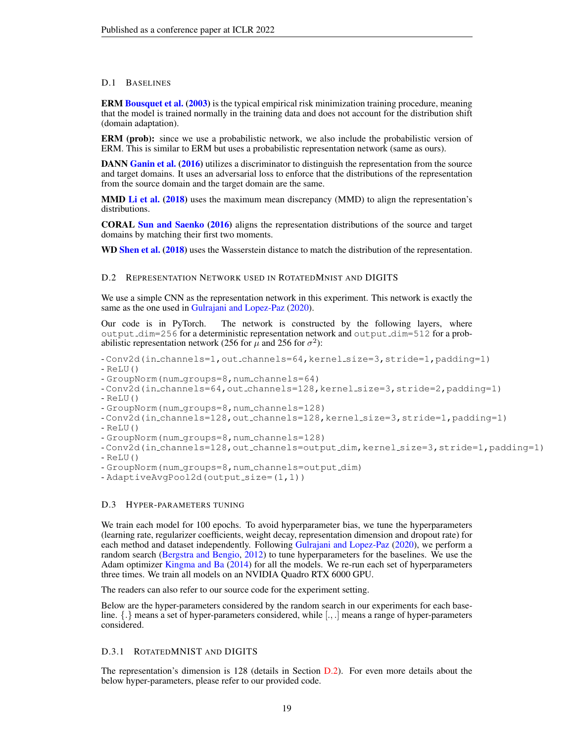### D.1 BASELINES

ERM [Bousquet et al.](#page-9-9) [\(2003\)](#page-9-9) is the typical empirical risk minimization training procedure, meaning that the model is trained normally in the training data and does not account for the distribution shift (domain adaptation).

ERM (prob): since we use a probabilistic network, we also include the probabilistic version of ERM. This is similar to ERM but uses a probabilistic representation network (same as ours).

DANN [Ganin et al.](#page-9-4) [\(2016\)](#page-9-4) utilizes a discriminator to distinguish the representation from the source and target domains. It uses an adversarial loss to enforce that the distributions of the representation from the source domain and the target domain are the same.

MMD [Li et al.](#page-10-5) [\(2018\)](#page-10-5) uses the maximum mean discrepancy (MMD) to align the representation's distributions.

CORAL [Sun and Saenko](#page-10-9) [\(2016\)](#page-10-9) aligns the representation distributions of the source and target domains by matching their first two moments.

WD [Shen et al.](#page-10-6) [\(2018\)](#page-10-6) uses the Wasserstein distance to match the distribution of the representation.

### <span id="page-18-0"></span>D.2 REPRESENTATION NETWORK USED IN ROTATEDMNIST AND DIGITS

We use a simple CNN as the representation network in this experiment. This network is exactly the same as the one used in [Gulrajani and Lopez-Paz](#page-9-17) [\(2020\)](#page-9-17).

Our code is in PyTorch. The network is constructed by the following layers, where output dim=256 for a deterministic representation network and output dim=512 for a probabilistic representation network (256 for  $\mu$  and 256 for  $\sigma^2$ ):

- Conv2d(in channels=1,out channels=64,kernel size=3,stride=1,padding=1)  $-$  ReLU()
- GroupNorm(num groups=8,num channels=64)
- Conv2d(in channels=64,out channels=128,kernel size=3,stride=2,padding=1)  $-$  ReLU()
- GroupNorm(num groups=8,num channels=128)
- Conv2d(in channels=128, out channels=128, kernel size=3, stride=1, padding=1)
- $-$  ReLU()
- GroupNorm(num groups=8,num channels=128)

- Conv2d(in channels=128,out channels=output dim,kernel size=3,stride=1,padding=1)  $-$  ReLU()

- GroupNorm(num groups=8,num channels=output dim)
- AdaptiveAvqPool2d(output\_size=(1,1))

### D.3 HYPER-PARAMETERS TUNING

We train each model for 100 epochs. To avoid hyperparameter bias, we tune the hyperparameters (learning rate, regularizer coefficients, weight decay, representation dimension and dropout rate) for each method and dataset independently. Following [Gulrajani and Lopez-Paz](#page-9-17) [\(2020\)](#page-9-17), we perform a random search [\(Bergstra and Bengio,](#page-9-18) [2012\)](#page-9-18) to tune hyperparameters for the baselines. We use the Adam optimizer [Kingma and Ba](#page-10-20) [\(2014\)](#page-10-20) for all the models. We re-run each set of hyperparameters three times. We train all models on an NVIDIA Quadro RTX 6000 GPU.

The readers can also refer to our source code for the experiment setting.

Below are the hyper-parameters considered by the random search in our experiments for each baseline. {.} means a set of hyper-parameters considered, while [., .] means a range of hyper-parameters considered.

## D.3.1 ROTATEDMNIST AND DIGITS

The representation's dimension is 128 (details in Section [D.2\)](#page-18-0). For even more details about the below hyper-parameters, please refer to our provided code.